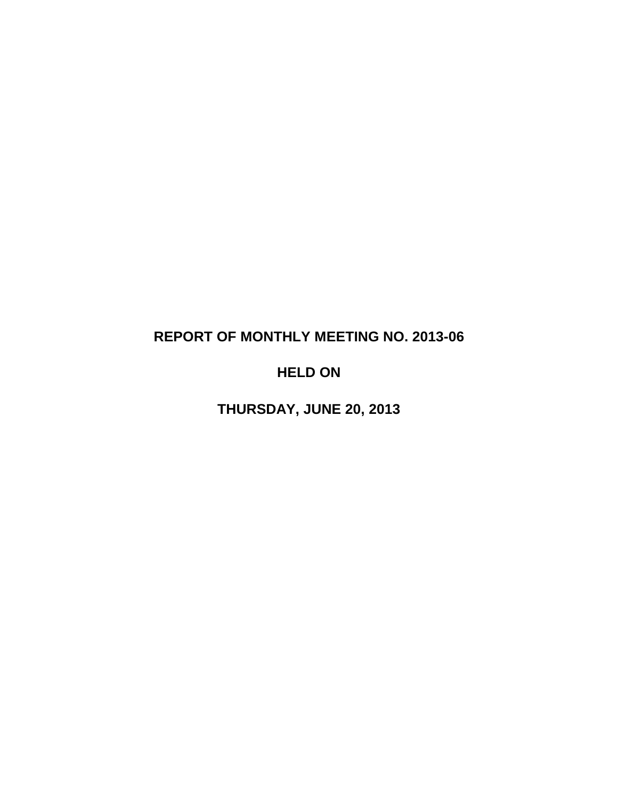# **REPORT OF MONTHLY MEETING NO. 2013-06**

# **HELD ON**

**THURSDAY, JUNE 20, 2013**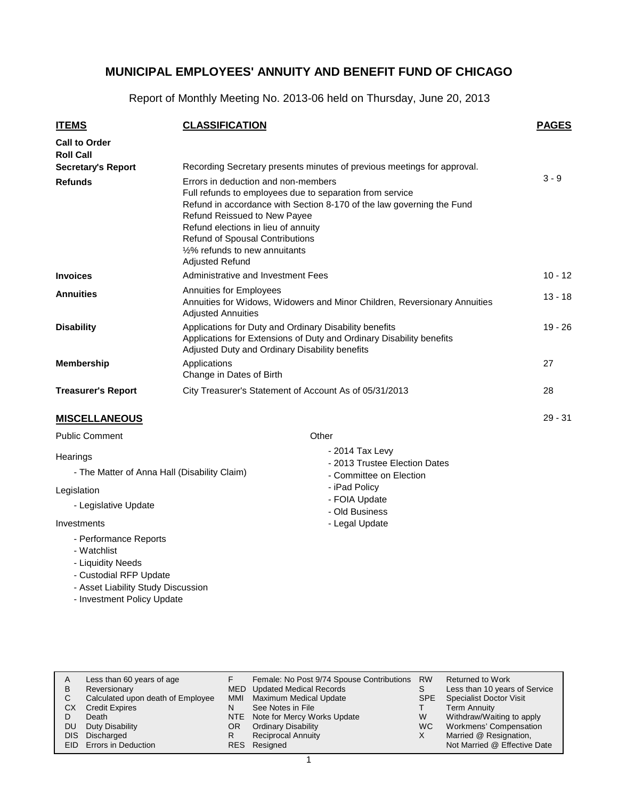Report of Monthly Meeting No. 2013-06 held on Thursday, June 20, 2013

| <b>ITEMS</b>                             | <b>CLASSIFICATION</b>                                                                                                                                                                                                                                                                                                                                       | <b>PAGES</b> |
|------------------------------------------|-------------------------------------------------------------------------------------------------------------------------------------------------------------------------------------------------------------------------------------------------------------------------------------------------------------------------------------------------------------|--------------|
| <b>Call to Order</b><br><b>Roll Call</b> |                                                                                                                                                                                                                                                                                                                                                             |              |
| <b>Secretary's Report</b>                | Recording Secretary presents minutes of previous meetings for approval.                                                                                                                                                                                                                                                                                     |              |
| <b>Refunds</b>                           | Errors in deduction and non-members<br>Full refunds to employees due to separation from service<br>Refund in accordance with Section 8-170 of the law governing the Fund<br>Refund Reissued to New Payee<br>Refund elections in lieu of annuity<br>Refund of Spousal Contributions<br>1/ <sub>2</sub> % refunds to new annuitants<br><b>Adjusted Refund</b> | $3 - 9$      |
| <b>Invoices</b>                          | Administrative and Investment Fees                                                                                                                                                                                                                                                                                                                          | $10 - 12$    |
| <b>Annuities</b>                         | Annuities for Employees<br>Annuities for Widows, Widowers and Minor Children, Reversionary Annuities<br><b>Adjusted Annuities</b>                                                                                                                                                                                                                           | $13 - 18$    |
| <b>Disability</b>                        | Applications for Duty and Ordinary Disability benefits<br>Applications for Extensions of Duty and Ordinary Disability benefits<br>Adjusted Duty and Ordinary Disability benefits                                                                                                                                                                            | $19 - 26$    |
| <b>Membership</b>                        | Applications<br>Change in Dates of Birth                                                                                                                                                                                                                                                                                                                    | 27           |
| <b>Treasurer's Report</b>                | City Treasurer's Statement of Account As of 05/31/2013                                                                                                                                                                                                                                                                                                      | 28           |
| <b>MISCELLANEOUS</b>                     |                                                                                                                                                                                                                                                                                                                                                             | $29 - 31$    |
| <b>Public Comment</b>                    | Other                                                                                                                                                                                                                                                                                                                                                       |              |
|                                          | $0.044$ $T - 1 - 1$                                                                                                                                                                                                                                                                                                                                         |              |

#### **Hearings**

- The Matter of Anna Hall (Disability Claim)

#### Legislation

- Legislative Update

#### Investments

- Performance Reports
- Watchlist
- Liquidity Needs
- Custodial RFP Update
- Asset Liability Study Discussion
- Investment Policy Update
- 2014 Tax Levy
- 2013 Trustee Election Dates
- Committee on Election
- iPad Policy
- FOIA Update - Old Business
- Legal Update
- 

| Less than 60 years of age         |                                                  |                           | <b>RW</b>                                                                                                    | <b>Returned to Work</b>                   |
|-----------------------------------|--------------------------------------------------|---------------------------|--------------------------------------------------------------------------------------------------------------|-------------------------------------------|
| Reversionary                      |                                                  |                           |                                                                                                              | Less than 10 years of Service             |
| Calculated upon death of Employee | <b>MMI</b>                                       | Maximum Medical Update    | <b>SPE</b>                                                                                                   | <b>Specialist Doctor Visit</b>            |
| <b>Credit Expires</b>             | N                                                | See Notes in File         |                                                                                                              | Term Annuity                              |
| Death                             |                                                  |                           | W                                                                                                            | Withdraw/Waiting to apply                 |
| Duty Disability                   | OR.                                              |                           | <b>WC</b>                                                                                                    | Workmens' Compensation                    |
|                                   |                                                  | <b>Reciprocal Annuity</b> |                                                                                                              | Married @ Resignation,                    |
|                                   |                                                  |                           |                                                                                                              | Not Married @ Effective Date              |
|                                   | DIS Discharged<br><b>EID</b> Errors in Deduction |                           | MED Updated Medical Records<br>NTE Note for Mercy Works Update<br><b>Ordinary Disability</b><br>RES Resigned | Female: No Post 9/74 Spouse Contributions |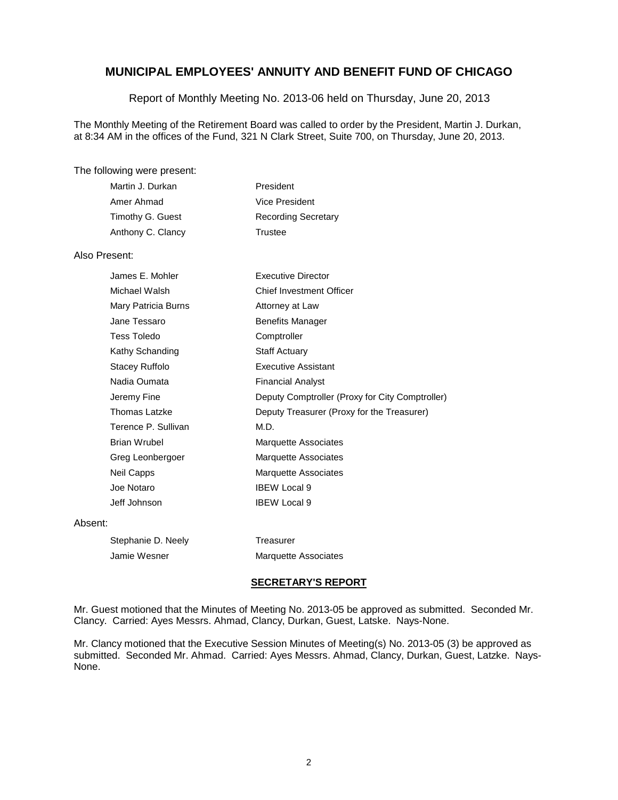Report of Monthly Meeting No. 2013-06 held on Thursday, June 20, 2013

The Monthly Meeting of the Retirement Board was called to order by the President, Martin J. Durkan, at 8:34 AM in the offices of the Fund, 321 N Clark Street, Suite 700, on Thursday, June 20, 2013.

#### The following were present:

| Martin J. Durkan  | President                  |
|-------------------|----------------------------|
| Amer Ahmad        | Vice President             |
| Timothy G. Guest  | <b>Recording Secretary</b> |
| Anthony C. Clancy | Trustee                    |

## Also Present:

| James E. Mohler      | <b>Executive Director</b>                       |
|----------------------|-------------------------------------------------|
| Michael Walsh        | <b>Chief Investment Officer</b>                 |
| Mary Patricia Burns  | Attorney at Law                                 |
| Jane Tessaro         | <b>Benefits Manager</b>                         |
| Tess Toledo          | Comptroller                                     |
| Kathy Schanding      | <b>Staff Actuary</b>                            |
| Stacey Ruffolo       | <b>Executive Assistant</b>                      |
| Nadia Oumata         | <b>Financial Analyst</b>                        |
| Jeremy Fine          | Deputy Comptroller (Proxy for City Comptroller) |
| <b>Thomas Latzke</b> | Deputy Treasurer (Proxy for the Treasurer)      |
| Terence P. Sullivan  | M.D.                                            |
| <b>Brian Wrubel</b>  | Marquette Associates                            |
| Greg Leonbergoer     | Marquette Associates                            |
| Neil Capps           | <b>Marquette Associates</b>                     |
| Joe Notaro           | <b>IBEW Local 9</b>                             |
| Jeff Johnson         | <b>IBEW Local 9</b>                             |
|                      |                                                 |

#### Absent:

| Stephanie D. Neely | Treasurer                   |
|--------------------|-----------------------------|
| Jamie Wesner       | <b>Marquette Associates</b> |

#### **SECRETARY'S REPORT**

Mr. Guest motioned that the Minutes of Meeting No. 2013-05 be approved as submitted. Seconded Mr. Clancy. Carried: Ayes Messrs. Ahmad, Clancy, Durkan, Guest, Latske. Nays-None.

Mr. Clancy motioned that the Executive Session Minutes of Meeting(s) No. 2013-05 (3) be approved as submitted. Seconded Mr. Ahmad. Carried: Ayes Messrs. Ahmad, Clancy, Durkan, Guest, Latzke. Nays-None.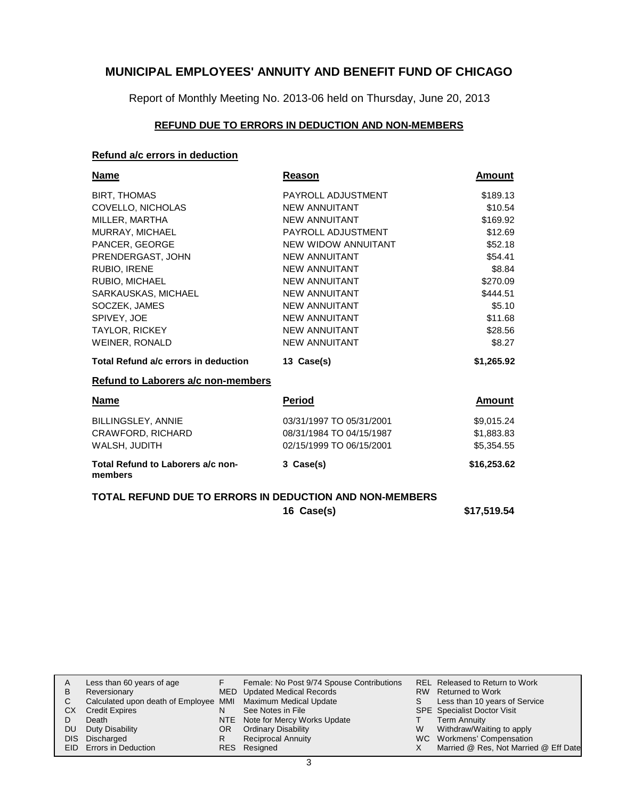Report of Monthly Meeting No. 2013-06 held on Thursday, June 20, 2013

## **REFUND DUE TO ERRORS IN DEDUCTION AND NON-MEMBERS**

## **Refund a/c errors in deduction**

| Name                                         | Reason                                                                                                                                                                                                                                                                                                                                                                                                                                                                                                                                                                                            | Amount      |
|----------------------------------------------|---------------------------------------------------------------------------------------------------------------------------------------------------------------------------------------------------------------------------------------------------------------------------------------------------------------------------------------------------------------------------------------------------------------------------------------------------------------------------------------------------------------------------------------------------------------------------------------------------|-------------|
| <b>BIRT, THOMAS</b>                          | PAYROLL ADJUSTMENT                                                                                                                                                                                                                                                                                                                                                                                                                                                                                                                                                                                | \$189.13    |
| COVELLO, NICHOLAS                            | <b>NEW ANNUITANT</b>                                                                                                                                                                                                                                                                                                                                                                                                                                                                                                                                                                              | \$10.54     |
| MILLER, MARTHA                               | <b>NEW ANNUITANT</b>                                                                                                                                                                                                                                                                                                                                                                                                                                                                                                                                                                              | \$169.92    |
| MURRAY, MICHAEL                              | PAYROLL ADJUSTMENT                                                                                                                                                                                                                                                                                                                                                                                                                                                                                                                                                                                | \$12.69     |
| PANCER, GEORGE                               | NEW WIDOW ANNUITANT                                                                                                                                                                                                                                                                                                                                                                                                                                                                                                                                                                               | \$52.18     |
| PRENDERGAST, JOHN                            | <b>NEW ANNUITANT</b>                                                                                                                                                                                                                                                                                                                                                                                                                                                                                                                                                                              | \$54.41     |
| RUBIO, IRENE                                 | <b>NEW ANNUITANT</b>                                                                                                                                                                                                                                                                                                                                                                                                                                                                                                                                                                              | \$8.84      |
| RUBIO, MICHAEL                               | <b>NEW ANNUITANT</b>                                                                                                                                                                                                                                                                                                                                                                                                                                                                                                                                                                              | \$270.09    |
| SARKAUSKAS, MICHAEL                          | <b>NEW ANNUITANT</b>                                                                                                                                                                                                                                                                                                                                                                                                                                                                                                                                                                              | \$444.51    |
| SOCZEK, JAMES                                | <b>NEW ANNUITANT</b>                                                                                                                                                                                                                                                                                                                                                                                                                                                                                                                                                                              | \$5.10      |
| SPIVEY, JOE                                  | <b>NEW ANNUITANT</b>                                                                                                                                                                                                                                                                                                                                                                                                                                                                                                                                                                              | \$11.68     |
| <b>TAYLOR, RICKEY</b>                        | <b>NEW ANNUITANT</b>                                                                                                                                                                                                                                                                                                                                                                                                                                                                                                                                                                              | \$28.56     |
| WEINER, RONALD                               | <b>NEW ANNUITANT</b>                                                                                                                                                                                                                                                                                                                                                                                                                                                                                                                                                                              | \$8.27      |
| Total Refund a/c errors in deduction         | 13 Case(s)                                                                                                                                                                                                                                                                                                                                                                                                                                                                                                                                                                                        | \$1,265.92  |
| Refund to Laborers a/c non-members           |                                                                                                                                                                                                                                                                                                                                                                                                                                                                                                                                                                                                   |             |
| <b>Name</b>                                  | <b>Period</b>                                                                                                                                                                                                                                                                                                                                                                                                                                                                                                                                                                                     | Amount      |
| <b>BILLINGSLEY, ANNIE</b>                    | 03/31/1997 TO 05/31/2001                                                                                                                                                                                                                                                                                                                                                                                                                                                                                                                                                                          | \$9,015.24  |
| CRAWFORD, RICHARD                            | 08/31/1984 TO 04/15/1987                                                                                                                                                                                                                                                                                                                                                                                                                                                                                                                                                                          | \$1,883.83  |
| WALSH, JUDITH                                | 02/15/1999 TO 06/15/2001                                                                                                                                                                                                                                                                                                                                                                                                                                                                                                                                                                          | \$5,354.55  |
| Total Refund to Laborers a/c non-<br>members | 3 Case(s)                                                                                                                                                                                                                                                                                                                                                                                                                                                                                                                                                                                         | \$16,253.62 |
|                                              | $\begin{array}{c} \bullet \end{array} \begin{array}{c} \bullet \end{array} \begin{array}{c} \bullet \end{array} \begin{array}{c} \bullet \end{array} \begin{array}{c} \bullet \end{array} \begin{array}{c} \bullet \end{array} \begin{array}{c} \bullet \end{array} \begin{array}{c} \bullet \end{array} \begin{array}{c} \bullet \end{array} \begin{array}{c} \bullet \end{array} \begin{array}{c} \bullet \end{array} \begin{array}{c} \bullet \end{array} \begin{array}{c} \bullet \end{array} \begin{array}{c} \bullet \end{array} \begin{array}{c} \end{array} \begin{array}{c} \end{array}$ |             |

## **TOTAL REFUND DUE TO ERRORS IN DEDUCTION AND NON-MEMBERS**

**16 Case(s) \$17,519.54**

| A  | Less than 60 years of age                                    |     | Female: No Post 9/74 Spouse Contributions |    | REL Released to Return to Work        |
|----|--------------------------------------------------------------|-----|-------------------------------------------|----|---------------------------------------|
| В  | Reversionary                                                 |     | MED Updated Medical Records               |    | RW Returned to Work                   |
|    | Calculated upon death of Employee MMI Maximum Medical Update |     |                                           | S. | Less than 10 years of Service         |
| CХ | <b>Credit Expires</b>                                        | N   | See Notes in File                         |    | <b>SPE</b> Specialist Doctor Visit    |
|    | Death                                                        |     | NTE Note for Mercy Works Update           |    | <b>Term Annuity</b>                   |
| DU | Duty Disability                                              | OR. | <b>Ordinary Disability</b>                | W  | Withdraw/Waiting to apply             |
|    | DIS Discharged                                               | R   | <b>Reciprocal Annuity</b>                 |    | WC Workmens' Compensation             |
|    | <b>EID</b> Errors in Deduction                               |     | RES Resigned                              |    | Married @ Res, Not Married @ Eff Date |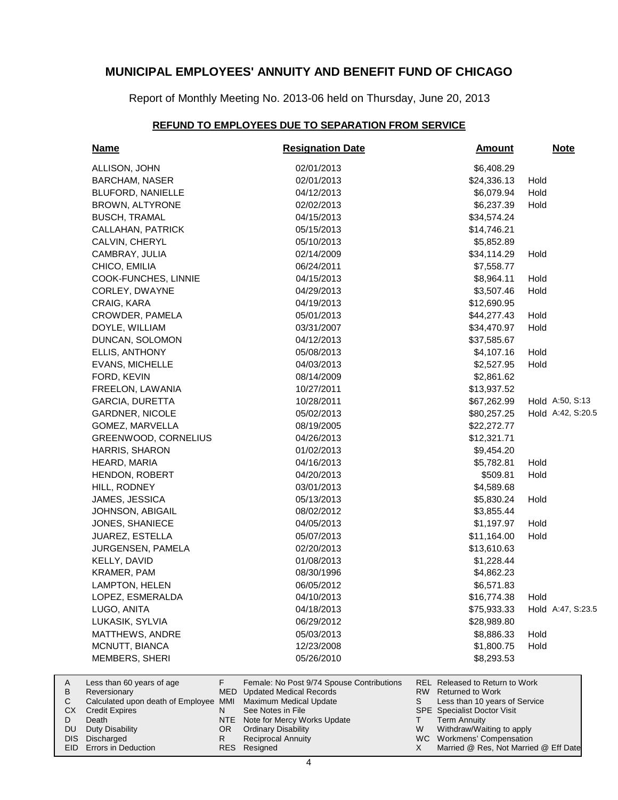Report of Monthly Meeting No. 2013-06 held on Thursday, June 20, 2013

#### **REFUND TO EMPLOYEES DUE TO SEPARATION FROM SERVICE**

| <b>Name</b>                                                                        |                 | <b>Resignation Date</b>                                                                                   |           | <b>Amount</b>                                                                              |      | <b>Note</b>       |
|------------------------------------------------------------------------------------|-----------------|-----------------------------------------------------------------------------------------------------------|-----------|--------------------------------------------------------------------------------------------|------|-------------------|
| ALLISON, JOHN                                                                      |                 | 02/01/2013                                                                                                |           | \$6,408.29                                                                                 |      |                   |
| <b>BARCHAM, NASER</b>                                                              |                 | 02/01/2013                                                                                                |           | \$24,336.13                                                                                | Hold |                   |
| <b>BLUFORD, NANIELLE</b>                                                           |                 | 04/12/2013                                                                                                |           | \$6,079.94                                                                                 | Hold |                   |
| BROWN, ALTYRONE                                                                    |                 | 02/02/2013                                                                                                |           | \$6,237.39                                                                                 | Hold |                   |
| <b>BUSCH, TRAMAL</b>                                                               |                 | 04/15/2013                                                                                                |           | \$34,574.24                                                                                |      |                   |
| CALLAHAN, PATRICK                                                                  |                 | 05/15/2013                                                                                                |           | \$14,746.21                                                                                |      |                   |
| CALVIN, CHERYL                                                                     |                 | 05/10/2013                                                                                                |           | \$5,852.89                                                                                 |      |                   |
| CAMBRAY, JULIA                                                                     |                 | 02/14/2009                                                                                                |           | \$34,114.29                                                                                | Hold |                   |
| CHICO, EMILIA                                                                      |                 | 06/24/2011                                                                                                |           | \$7,558.77                                                                                 |      |                   |
| COOK-FUNCHES, LINNIE                                                               |                 | 04/15/2013                                                                                                |           | \$8,964.11                                                                                 | Hold |                   |
| CORLEY, DWAYNE                                                                     |                 | 04/29/2013                                                                                                |           | \$3,507.46                                                                                 | Hold |                   |
| CRAIG, KARA                                                                        |                 | 04/19/2013                                                                                                |           | \$12,690.95                                                                                |      |                   |
| CROWDER, PAMELA                                                                    |                 | 05/01/2013                                                                                                |           | \$44,277.43                                                                                | Hold |                   |
| DOYLE, WILLIAM                                                                     |                 | 03/31/2007                                                                                                |           | \$34,470.97                                                                                | Hold |                   |
| DUNCAN, SOLOMON                                                                    |                 | 04/12/2013                                                                                                |           | \$37,585.67                                                                                |      |                   |
| ELLIS, ANTHONY                                                                     |                 | 05/08/2013                                                                                                |           | \$4,107.16                                                                                 | Hold |                   |
| EVANS, MICHELLE                                                                    |                 | 04/03/2013                                                                                                |           | \$2,527.95                                                                                 | Hold |                   |
| FORD, KEVIN                                                                        |                 | 08/14/2009                                                                                                |           | \$2,861.62                                                                                 |      |                   |
| FREELON, LAWANIA                                                                   |                 | 10/27/2011                                                                                                |           | \$13,937.52                                                                                |      |                   |
| GARCIA, DURETTA                                                                    |                 | 10/28/2011                                                                                                |           | \$67,262.99                                                                                |      | Hold A:50, S:13   |
| GARDNER, NICOLE                                                                    |                 | 05/02/2013                                                                                                |           | \$80,257.25                                                                                |      | Hold A:42, S:20.5 |
| GOMEZ, MARVELLA                                                                    |                 | 08/19/2005                                                                                                |           | \$22,272.77                                                                                |      |                   |
| GREENWOOD, CORNELIUS                                                               |                 | 04/26/2013                                                                                                |           | \$12,321.71                                                                                |      |                   |
| HARRIS, SHARON                                                                     |                 | 01/02/2013                                                                                                |           | \$9,454.20                                                                                 |      |                   |
| HEARD, MARIA                                                                       |                 | 04/16/2013                                                                                                |           | \$5,782.81                                                                                 | Hold |                   |
| HENDON, ROBERT                                                                     |                 | 04/20/2013                                                                                                |           | \$509.81                                                                                   | Hold |                   |
| HILL, RODNEY                                                                       |                 | 03/01/2013                                                                                                |           | \$4,589.68                                                                                 |      |                   |
| JAMES, JESSICA                                                                     |                 | 05/13/2013                                                                                                |           | \$5,830.24                                                                                 | Hold |                   |
| JOHNSON, ABIGAIL                                                                   |                 | 08/02/2012                                                                                                |           | \$3,855.44                                                                                 |      |                   |
| JONES, SHANIECE                                                                    |                 | 04/05/2013                                                                                                |           | \$1,197.97                                                                                 | Hold |                   |
| JUAREZ, ESTELLA                                                                    |                 | 05/07/2013                                                                                                |           | \$11,164.00                                                                                | Hold |                   |
| JURGENSEN, PAMELA                                                                  |                 | 02/20/2013                                                                                                |           | \$13,610.63                                                                                |      |                   |
| KELLY, DAVID                                                                       |                 | 01/08/2013                                                                                                |           | \$1,228.44                                                                                 |      |                   |
| KRAMER, PAM                                                                        |                 | 08/30/1996                                                                                                |           | \$4,862.23                                                                                 |      |                   |
| <b>LAMPTON, HELEN</b>                                                              |                 | 06/05/2012                                                                                                |           | \$6,571.83                                                                                 |      |                   |
| LOPEZ, ESMERALDA                                                                   |                 | 04/10/2013                                                                                                |           | \$16,774.38                                                                                | Hold |                   |
| LUGO, ANITA                                                                        |                 | 04/18/2013                                                                                                |           | \$75,933.33                                                                                |      | Hold A:47, S:23.5 |
| LUKASIK, SYLVIA                                                                    |                 | 06/29/2012                                                                                                |           | \$28,989.80                                                                                |      |                   |
| MATTHEWS, ANDRE                                                                    |                 | 05/03/2013                                                                                                |           | \$8,886.33                                                                                 | Hold |                   |
| MCNUTT, BIANCA                                                                     |                 | 12/23/2008                                                                                                |           | \$1,800.75                                                                                 | Hold |                   |
| MEMBERS, SHERI                                                                     |                 | 05/26/2010                                                                                                |           | \$8,293.53                                                                                 |      |                   |
| Less than 60 years of age<br>Reversionary<br>Calculated upon death of Employee MMI | F               | Female: No Post 9/74 Spouse Contributions<br><b>MED</b> Updated Medical Records<br>Maximum Medical Update | RW  <br>S | REL Released to Return to Work<br><b>Returned to Work</b><br>Less than 10 years of Service |      |                   |
| <b>Credit Expires</b><br>Death                                                     | N<br><b>NTE</b> | See Notes in File<br>Note for Mercy Works Update                                                          | T.        | <b>SPE</b> Specialist Doctor Visit<br><b>Term Annuity</b>                                  |      |                   |

- NTE Note for Mercy Works Update
- OR Ordinary Disability Reciprocal Annuity

Resigned RES

R

DIS Discharged EID Errors in Deduction

Duty Disability

A B  $\mathbf C$ CX D DU

Withdraw/Waiting to apply WC Workmens' Compensation

W X

Married @ Res, Not Married @ Eff Date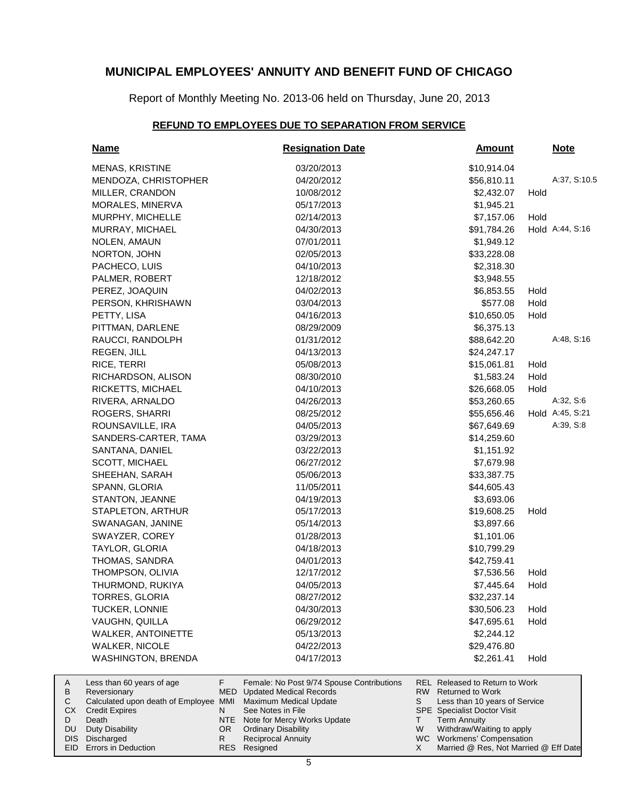Report of Monthly Meeting No. 2013-06 held on Thursday, June 20, 2013

#### **REFUND TO EMPLOYEES DUE TO SEPARATION FROM SERVICE**

|                    | <u>Name</u>                                                                                                 |        | <b>Resignation Date</b>                                                                                                        |          | <b>Amount</b>                                                                                                                           |      | <u>Note</u>     |  |
|--------------------|-------------------------------------------------------------------------------------------------------------|--------|--------------------------------------------------------------------------------------------------------------------------------|----------|-----------------------------------------------------------------------------------------------------------------------------------------|------|-----------------|--|
|                    | <b>MENAS, KRISTINE</b>                                                                                      |        | 03/20/2013                                                                                                                     |          | \$10,914.04                                                                                                                             |      |                 |  |
|                    | MENDOZA, CHRISTOPHER                                                                                        |        | 04/20/2012                                                                                                                     |          | \$56,810.11                                                                                                                             |      | A:37, S:10.5    |  |
|                    | MILLER, CRANDON                                                                                             |        | 10/08/2012                                                                                                                     |          | \$2,432.07                                                                                                                              | Hold |                 |  |
|                    | MORALES, MINERVA                                                                                            |        | 05/17/2013                                                                                                                     |          | \$1,945.21                                                                                                                              |      |                 |  |
|                    | MURPHY, MICHELLE                                                                                            |        | 02/14/2013                                                                                                                     |          | \$7,157.06                                                                                                                              | Hold |                 |  |
|                    | MURRAY, MICHAEL                                                                                             |        | 04/30/2013                                                                                                                     |          | \$91,784.26                                                                                                                             |      | Hold A:44, S:16 |  |
|                    | NOLEN, AMAUN                                                                                                |        | 07/01/2011                                                                                                                     |          | \$1,949.12                                                                                                                              |      |                 |  |
|                    | NORTON, JOHN                                                                                                |        | 02/05/2013                                                                                                                     |          | \$33,228.08                                                                                                                             |      |                 |  |
|                    | PACHECO, LUIS                                                                                               |        | 04/10/2013                                                                                                                     |          | \$2,318.30                                                                                                                              |      |                 |  |
|                    | PALMER, ROBERT                                                                                              |        | 12/18/2012                                                                                                                     |          | \$3,948.55                                                                                                                              |      |                 |  |
|                    | PEREZ, JOAQUIN                                                                                              |        | 04/02/2013                                                                                                                     |          | \$6,853.55                                                                                                                              | Hold |                 |  |
|                    | PERSON, KHRISHAWN                                                                                           |        | 03/04/2013                                                                                                                     |          | \$577.08                                                                                                                                | Hold |                 |  |
|                    | PETTY, LISA                                                                                                 |        | 04/16/2013                                                                                                                     |          | \$10,650.05                                                                                                                             | Hold |                 |  |
|                    | PITTMAN, DARLENE                                                                                            |        | 08/29/2009                                                                                                                     |          | \$6,375.13                                                                                                                              |      |                 |  |
|                    | RAUCCI, RANDOLPH                                                                                            |        | 01/31/2012                                                                                                                     |          | \$88,642.20                                                                                                                             |      | A:48, S:16      |  |
|                    | REGEN, JILL                                                                                                 |        | 04/13/2013                                                                                                                     |          | \$24,247.17                                                                                                                             |      |                 |  |
|                    | RICE, TERRI                                                                                                 |        | 05/08/2013                                                                                                                     |          | \$15,061.81                                                                                                                             | Hold |                 |  |
|                    | RICHARDSON, ALISON                                                                                          |        | 08/30/2010                                                                                                                     |          | \$1,583.24                                                                                                                              | Hold |                 |  |
|                    | RICKETTS, MICHAEL                                                                                           |        | 04/10/2013                                                                                                                     |          | \$26,668.05                                                                                                                             | Hold |                 |  |
|                    | RIVERA, ARNALDO                                                                                             |        | 04/26/2013                                                                                                                     |          | \$53,260.65                                                                                                                             |      | A:32, S:6       |  |
|                    | ROGERS, SHARRI                                                                                              |        | 08/25/2012                                                                                                                     |          | \$55,656.46                                                                                                                             |      | Hold A:45, S:21 |  |
|                    | ROUNSAVILLE, IRA                                                                                            |        | 04/05/2013                                                                                                                     |          | \$67,649.69                                                                                                                             |      | A:39, S:8       |  |
|                    | SANDERS-CARTER, TAMA                                                                                        |        | 03/29/2013                                                                                                                     |          | \$14,259.60                                                                                                                             |      |                 |  |
|                    | SANTANA, DANIEL                                                                                             |        | 03/22/2013                                                                                                                     |          | \$1,151.92                                                                                                                              |      |                 |  |
|                    | SCOTT, MICHAEL                                                                                              |        | 06/27/2012                                                                                                                     |          | \$7,679.98                                                                                                                              |      |                 |  |
|                    | SHEEHAN, SARAH                                                                                              |        | 05/06/2013                                                                                                                     |          | \$33,387.75                                                                                                                             |      |                 |  |
|                    | SPANN, GLORIA                                                                                               |        | 11/05/2011                                                                                                                     |          | \$44,605.43                                                                                                                             |      |                 |  |
|                    | STANTON, JEANNE                                                                                             |        | 04/19/2013                                                                                                                     |          | \$3,693.06                                                                                                                              |      |                 |  |
|                    | STAPLETON, ARTHUR                                                                                           |        | 05/17/2013                                                                                                                     |          | \$19,608.25                                                                                                                             | Hold |                 |  |
|                    | SWANAGAN, JANINE                                                                                            |        | 05/14/2013                                                                                                                     |          | \$3,897.66                                                                                                                              |      |                 |  |
|                    | SWAYZER, COREY                                                                                              |        | 01/28/2013                                                                                                                     |          | \$1,101.06                                                                                                                              |      |                 |  |
|                    | TAYLOR, GLORIA                                                                                              |        | 04/18/2013                                                                                                                     |          | \$10,799.29                                                                                                                             |      |                 |  |
|                    | THOMAS, SANDRA                                                                                              |        | 04/01/2013                                                                                                                     |          | \$42,759.41                                                                                                                             |      |                 |  |
|                    | THOMPSON, OLIVIA                                                                                            |        | 12/17/2012                                                                                                                     |          | \$7,536.56                                                                                                                              | Hold |                 |  |
|                    | THURMOND, RUKIYA                                                                                            |        | 04/05/2013                                                                                                                     |          | \$7,445.64                                                                                                                              | Hold |                 |  |
|                    | TORRES, GLORIA                                                                                              |        | 08/27/2012                                                                                                                     |          | \$32,237.14                                                                                                                             |      |                 |  |
|                    | TUCKER, LONNIE                                                                                              |        | 04/30/2013                                                                                                                     |          | \$30,506.23                                                                                                                             | Hold |                 |  |
|                    | VAUGHN, QUILLA                                                                                              |        | 06/29/2012                                                                                                                     |          | \$47,695.61                                                                                                                             | Hold |                 |  |
|                    | <b>WALKER, ANTOINETTE</b>                                                                                   |        | 05/13/2013                                                                                                                     |          | \$2,244.12                                                                                                                              |      |                 |  |
|                    | WALKER, NICOLE                                                                                              |        | 04/22/2013                                                                                                                     |          | \$29,476.80                                                                                                                             |      |                 |  |
|                    | WASHINGTON, BRENDA                                                                                          |        | 04/17/2013                                                                                                                     |          | \$2,261.41                                                                                                                              | Hold |                 |  |
| A<br>В<br>С<br>CX. | Less than 60 years of age<br>Reversionary<br>Calculated upon death of Employee MMI<br><b>Credit Expires</b> | F<br>N | Female: No Post 9/74 Spouse Contributions<br><b>MED</b> Updated Medical Records<br>Maximum Medical Update<br>See Notes in File | RW.<br>S | <b>REL Released to Return to Work</b><br><b>Returned to Work</b><br>Less than 10 years of Service<br><b>SPE</b> Specialist Doctor Visit |      |                 |  |
| D                  | Death<br><b>Duty Disability</b>                                                                             | NTE    | Note for Mercy Works Update<br><b>Ordinary Disability</b>                                                                      | Τ<br>W   | <b>Term Annuity</b><br>Withdraw/Waiting to apply                                                                                        |      |                 |  |

Reciprocal Annuity

Resigned RES

R

WC Workmens' Compensation

X

Married @ Res, Not Married @ Eff Date

DIS Discharged EID Errors in Deduction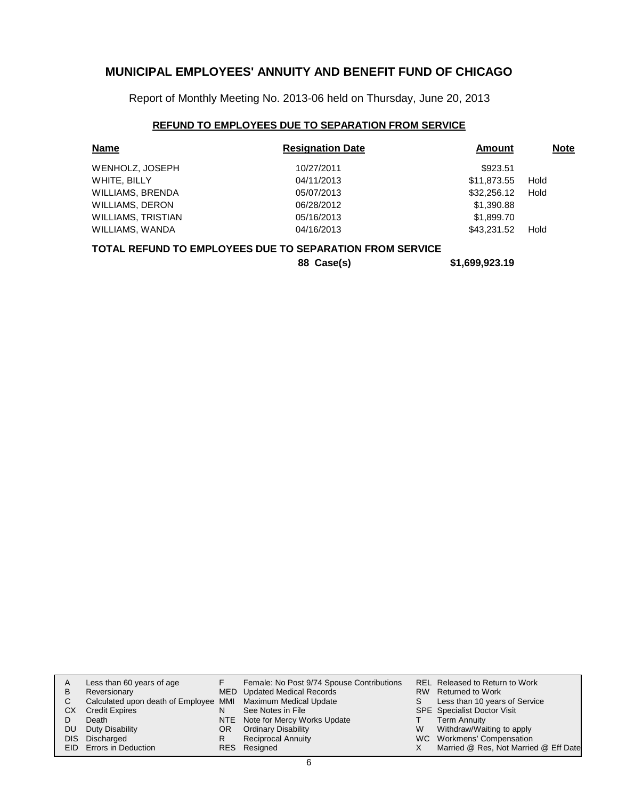Report of Monthly Meeting No. 2013-06 held on Thursday, June 20, 2013

## **REFUND TO EMPLOYEES DUE TO SEPARATION FROM SERVICE**

| <b>Name</b>               | <b>Resignation Date</b> | Amount      | <b>Note</b> |
|---------------------------|-------------------------|-------------|-------------|
| WENHOLZ, JOSEPH           | 10/27/2011              | \$923.51    |             |
| WHITE, BILLY              | 04/11/2013              | \$11,873.55 | Hold        |
| WILLIAMS, BRENDA          | 05/07/2013              | \$32,256.12 | Hold        |
| <b>WILLIAMS, DERON</b>    | 06/28/2012              | \$1,390.88  |             |
| <b>WILLIAMS, TRISTIAN</b> | 05/16/2013              | \$1,899.70  |             |
| WILLIAMS, WANDA           | 04/16/2013              | \$43,231,52 | Hold        |
|                           |                         |             |             |

#### **TOTAL REFUND TO EMPLOYEES DUE TO SEPARATION FROM SERVICE**

**88 Case(s) \$1,699,923.19**

| A          | Less than 60 years of age                                    |    | Female: No Post 9/74 Spouse Contributions |   | REL Released to Return to Work        |
|------------|--------------------------------------------------------------|----|-------------------------------------------|---|---------------------------------------|
| в          | Reversionary                                                 |    | MED Updated Medical Records               |   | RW Returned to Work                   |
| С          | Calculated upon death of Employee MMI Maximum Medical Update |    |                                           |   | Less than 10 years of Service         |
| СX         | <b>Credit Expires</b>                                        |    | See Notes in File                         |   | <b>SPE</b> Specialist Doctor Visit    |
|            | Death                                                        |    | NTE Note for Mercy Works Update           |   | <b>Term Annuity</b>                   |
| DU         | Duty Disability                                              | OR | <b>Ordinary Disability</b>                | W | Withdraw/Waiting to apply             |
| <b>DIS</b> | Discharged                                                   | R  | <b>Reciprocal Annuity</b>                 |   | WC Workmens' Compensation             |
|            | EID Errors in Deduction                                      |    | RES Resigned                              |   | Married @ Res, Not Married @ Eff Date |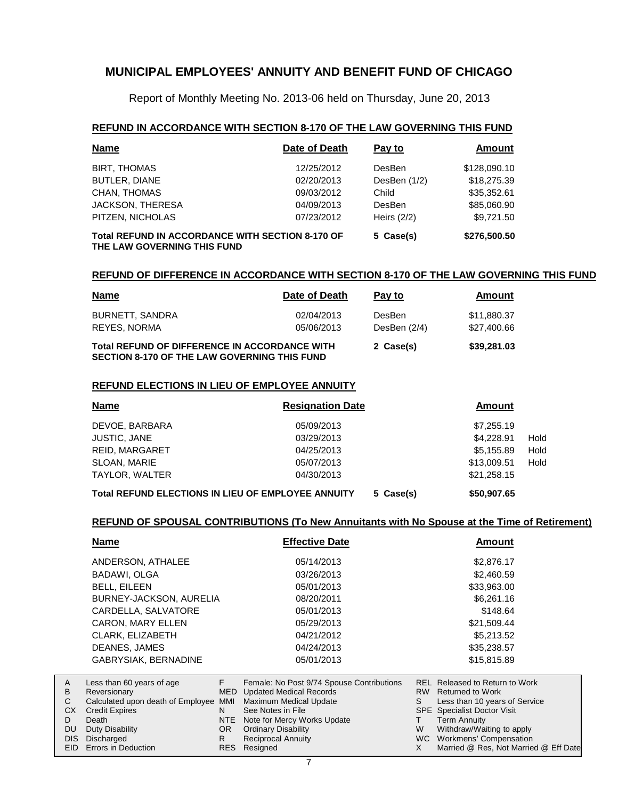Report of Monthly Meeting No. 2013-06 held on Thursday, June 20, 2013

#### **REFUND IN ACCORDANCE WITH SECTION 8-170 OF THE LAW GOVERNING THIS FUND**

| <b>Name</b>                                                                            | Date of Death | Pay to         | <b>Amount</b> |  |
|----------------------------------------------------------------------------------------|---------------|----------------|---------------|--|
| <b>BIRT, THOMAS</b>                                                                    | 12/25/2012    | DesBen         | \$128,090.10  |  |
| <b>BUTLER, DIANE</b>                                                                   | 02/20/2013    | DesBen $(1/2)$ | \$18,275.39   |  |
| CHAN, THOMAS                                                                           | 09/03/2012    | Child          | \$35.352.61   |  |
| JACKSON, THERESA                                                                       | 04/09/2013    | <b>DesBen</b>  | \$85,060.90   |  |
| PITZEN, NICHOLAS                                                                       | 07/23/2012    | Heirs $(2/2)$  | \$9,721.50    |  |
| <b>Total REFUND IN ACCORDANCE WITH SECTION 8-170 OF</b><br>THE LAW GOVERNING THIS FUND | 5 Case(s)     | \$276,500.50   |               |  |

#### **REFUND OF DIFFERENCE IN ACCORDANCE WITH SECTION 8-170 OF THE LAW GOVERNING THIS FUND**

| <b>Name</b>                                                                                                 | Date of Death            | Pay to                        | Amount                     |
|-------------------------------------------------------------------------------------------------------------|--------------------------|-------------------------------|----------------------------|
| BURNETT, SANDRA<br>REYES, NORMA                                                                             | 02/04/2013<br>05/06/2013 | <b>DesBen</b><br>DesBen (2/4) | \$11,880,37<br>\$27,400.66 |
| <b>Total REFUND OF DIFFERENCE IN ACCORDANCE WITH</b><br><b>SECTION 8-170 OF THE LAW GOVERNING THIS FUND</b> | 2 Case(s)                | \$39,281.03                   |                            |

#### **REFUND ELECTIONS IN LIEU OF EMPLOYEE ANNUITY**

| <b>Name</b>           | <b>Resignation Date</b> | Amount      |      |
|-----------------------|-------------------------|-------------|------|
| DEVOE, BARBARA        | 05/09/2013              | \$7,255.19  |      |
| <b>JUSTIC, JANE</b>   | 03/29/2013              | \$4.228.91  | Hold |
| <b>REID. MARGARET</b> | 04/25/2013              | \$5.155.89  | Hold |
| SLOAN, MARIE          | 05/07/2013              | \$13,009.51 | Hold |
| TAYLOR, WALTER        | 04/30/2013              | \$21,258.15 |      |
|                       |                         | $$          |      |

**Total REFUND ELECTIONS IN LIEU OF EMPLOYEE ANNUITY 5 Case(s) \$50,907.65**

### **REFUND OF SPOUSAL CONTRIBUTIONS (To New Annuitants with No Spouse at the Time of Retirement)**

|                                             | Name                                                                                                                                              |                                               | <b>Effective Date</b>                                                                                                                                                                                                | <b>Amount</b> |                                                                                                                                                                                                               |  |  |
|---------------------------------------------|---------------------------------------------------------------------------------------------------------------------------------------------------|-----------------------------------------------|----------------------------------------------------------------------------------------------------------------------------------------------------------------------------------------------------------------------|---------------|---------------------------------------------------------------------------------------------------------------------------------------------------------------------------------------------------------------|--|--|
|                                             | ANDERSON, ATHALEE                                                                                                                                 |                                               | 05/14/2013                                                                                                                                                                                                           |               | \$2,876.17                                                                                                                                                                                                    |  |  |
|                                             | BADAWI, OLGA                                                                                                                                      |                                               | 03/26/2013                                                                                                                                                                                                           |               | \$2,460.59                                                                                                                                                                                                    |  |  |
|                                             | <b>BELL, EILEEN</b>                                                                                                                               |                                               | 05/01/2013                                                                                                                                                                                                           |               | \$33,963.00                                                                                                                                                                                                   |  |  |
|                                             | BURNEY-JACKSON, AURELIA                                                                                                                           |                                               | 08/20/2011                                                                                                                                                                                                           |               | \$6,261.16                                                                                                                                                                                                    |  |  |
|                                             | CARDELLA, SALVATORE                                                                                                                               |                                               | 05/01/2013                                                                                                                                                                                                           |               | \$148.64                                                                                                                                                                                                      |  |  |
|                                             | <b>CARON, MARY ELLEN</b>                                                                                                                          |                                               | 05/29/2013                                                                                                                                                                                                           |               | \$21,509.44                                                                                                                                                                                                   |  |  |
|                                             | CLARK, ELIZABETH                                                                                                                                  |                                               | 04/21/2012                                                                                                                                                                                                           |               | \$5,213.52                                                                                                                                                                                                    |  |  |
|                                             | DEANES, JAMES                                                                                                                                     |                                               | 04/24/2013                                                                                                                                                                                                           |               | \$35,238.57                                                                                                                                                                                                   |  |  |
|                                             | <b>GABRYSIAK, BERNADINE</b>                                                                                                                       |                                               | 05/01/2013                                                                                                                                                                                                           |               | \$15,815.89                                                                                                                                                                                                   |  |  |
| Α<br>В<br>С<br>CX<br>D<br><b>DU</b><br>DIS. | Less than 60 years of age<br>Reversionary<br>Calculated upon death of Employee<br><b>Credit Expires</b><br>Death<br>Duty Disability<br>Discharged | F.<br>MED.<br>MMI<br>N.<br>NTE I<br>OR.<br>R. | Female: No Post 9/74 Spouse Contributions<br><b>Updated Medical Records</b><br>Maximum Medical Update<br>See Notes in File<br>Note for Mercy Works Update<br><b>Ordinary Disability</b><br><b>Reciprocal Annuity</b> | S<br>W        | <b>REL Released to Return to Work</b><br>RW Returned to Work<br>Less than 10 years of Service<br><b>SPE</b> Specialist Doctor Visit<br>Term Annuity<br>Withdraw/Waiting to apply<br>WC Workmens' Compensation |  |  |
| EID                                         | Errors in Deduction                                                                                                                               | <b>RES</b>                                    | Resigned                                                                                                                                                                                                             | X             | Married @ Res, Not Married @ Eff Date                                                                                                                                                                         |  |  |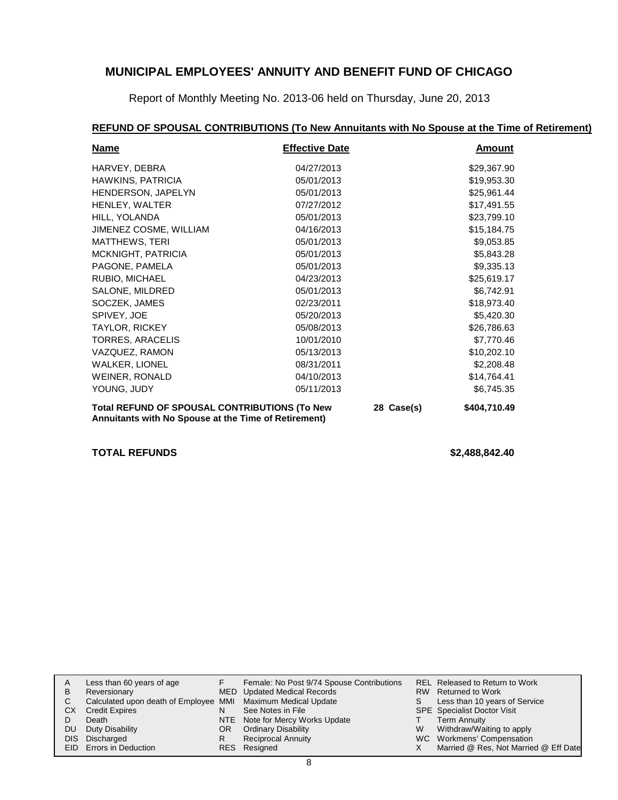Report of Monthly Meeting No. 2013-06 held on Thursday, June 20, 2013

## **REFUND OF SPOUSAL CONTRIBUTIONS (To New Annuitants with No Spouse at the Time of Retirement)**

| <b>Name</b>                                                                                                  | <b>Effective Date</b> |              | Amount      |
|--------------------------------------------------------------------------------------------------------------|-----------------------|--------------|-------------|
| HARVEY, DEBRA                                                                                                | 04/27/2013            |              | \$29,367.90 |
| HAWKINS, PATRICIA                                                                                            | 05/01/2013            |              | \$19,953.30 |
| HENDERSON, JAPELYN                                                                                           | 05/01/2013            |              | \$25,961.44 |
| HENLEY, WALTER                                                                                               | 07/27/2012            |              | \$17,491.55 |
| HILL, YOLANDA                                                                                                | 05/01/2013            |              | \$23,799.10 |
| JIMENEZ COSME, WILLIAM                                                                                       | 04/16/2013            |              | \$15,184.75 |
| <b>MATTHEWS, TERI</b>                                                                                        | 05/01/2013            |              | \$9,053.85  |
| MCKNIGHT, PATRICIA                                                                                           | 05/01/2013            |              | \$5,843.28  |
| PAGONE, PAMELA                                                                                               | 05/01/2013            |              | \$9,335.13  |
| RUBIO, MICHAEL                                                                                               | 04/23/2013            |              | \$25,619.17 |
| SALONE, MILDRED                                                                                              | 05/01/2013            |              | \$6,742.91  |
| SOCZEK, JAMES                                                                                                | 02/23/2011            |              | \$18,973.40 |
| SPIVEY, JOE                                                                                                  | 05/20/2013            |              | \$5,420.30  |
| <b>TAYLOR, RICKEY</b>                                                                                        | 05/08/2013            |              | \$26,786.63 |
| TORRES, ARACELIS                                                                                             | 10/01/2010            |              | \$7,770.46  |
| VAZQUEZ, RAMON                                                                                               | 05/13/2013            |              | \$10,202.10 |
| <b>WALKER, LIONEL</b>                                                                                        | 08/31/2011            |              | \$2,208.48  |
| WEINER, RONALD                                                                                               | 04/10/2013            |              | \$14,764.41 |
| YOUNG, JUDY                                                                                                  | 05/11/2013            |              | \$6,745.35  |
| <b>Total REFUND OF SPOUSAL CONTRIBUTIONS (To New</b><br>Annuitants with No Spouse at the Time of Retirement) | 28 Case(s)            | \$404,710.49 |             |

**TOTAL REFUNDS \$2,488,842.40**

| В  | Less than 60 years of age<br>Reversionary                    |     | Female: No Post 9/74 Spouse Contributions<br>MED Updated Medical Records |   | REL Released to Return to Work<br>RW Returned to Work |
|----|--------------------------------------------------------------|-----|--------------------------------------------------------------------------|---|-------------------------------------------------------|
|    | Calculated upon death of Employee MMI Maximum Medical Update |     |                                                                          | S | Less than 10 years of Service                         |
| CХ | <b>Credit Expires</b>                                        | N   | See Notes in File                                                        |   | <b>SPE</b> Specialist Doctor Visit                    |
|    | Death                                                        |     | NTE Note for Mercy Works Update                                          |   | <b>Term Annuity</b>                                   |
| DU | Duty Disability                                              | OR. | <b>Ordinary Disability</b>                                               | W | Withdraw/Waiting to apply                             |
|    | DIS Discharged                                               |     | <b>Reciprocal Annuity</b>                                                |   | WC Workmens' Compensation                             |
|    | EID Errors in Deduction                                      |     | RES Resigned                                                             |   | Married @ Res, Not Married @ Eff Date                 |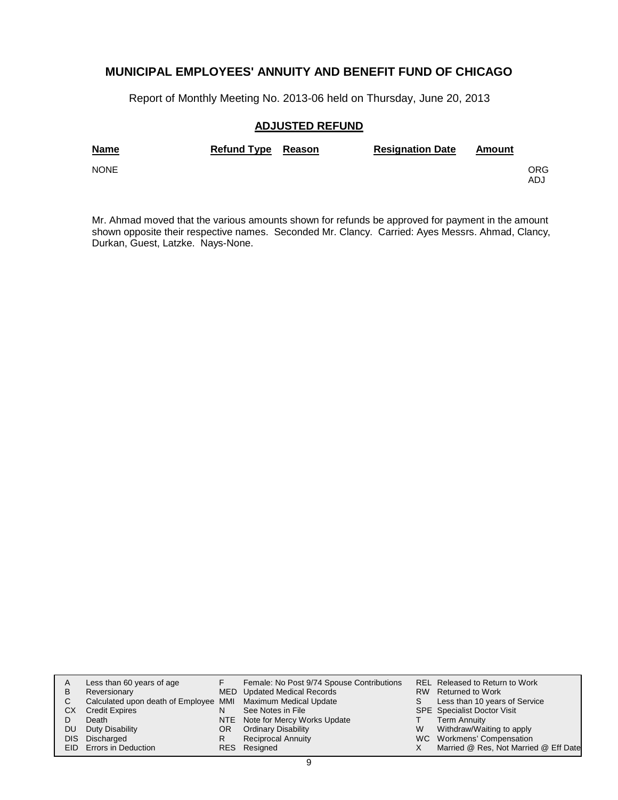Report of Monthly Meeting No. 2013-06 held on Thursday, June 20, 2013

## **ADJUSTED REFUND**

| <b>Name</b> | Refund Type Reason | <b>Resignation Date</b> | Amount |             |
|-------------|--------------------|-------------------------|--------|-------------|
| <b>NONE</b> |                    |                         |        | ORG.<br>ADJ |

Mr. Ahmad moved that the various amounts shown for refunds be approved for payment in the amount shown opposite their respective names. Seconded Mr. Clancy. Carried: Ayes Messrs. Ahmad, Clancy, Durkan, Guest, Latzke. Nays-None.

|      | Less than 60 years of age                                    |     | Female: No Post 9/74 Spouse Contributions |    | REL Released to Return to Work        |
|------|--------------------------------------------------------------|-----|-------------------------------------------|----|---------------------------------------|
| в    | Reversionary                                                 |     | MED Updated Medical Records               |    | RW Returned to Work                   |
| С    | Calculated upon death of Employee MMI Maximum Medical Update |     |                                           | S. | Less than 10 years of Service         |
| CХ   | <b>Credit Expires</b>                                        | N   | See Notes in File                         |    | <b>SPE</b> Specialist Doctor Visit    |
|      | Death                                                        |     | NTE Note for Mercy Works Update           |    | <b>Term Annuity</b>                   |
| DU   | Duty Disability                                              | OR. | <b>Ordinary Disability</b>                | W  | Withdraw/Waiting to apply             |
| DIS. | Discharged                                                   | R   | <b>Reciprocal Annuity</b>                 |    | WC Workmens' Compensation             |
|      | EID Errors in Deduction                                      |     | RES Resigned                              |    | Married @ Res, Not Married @ Eff Date |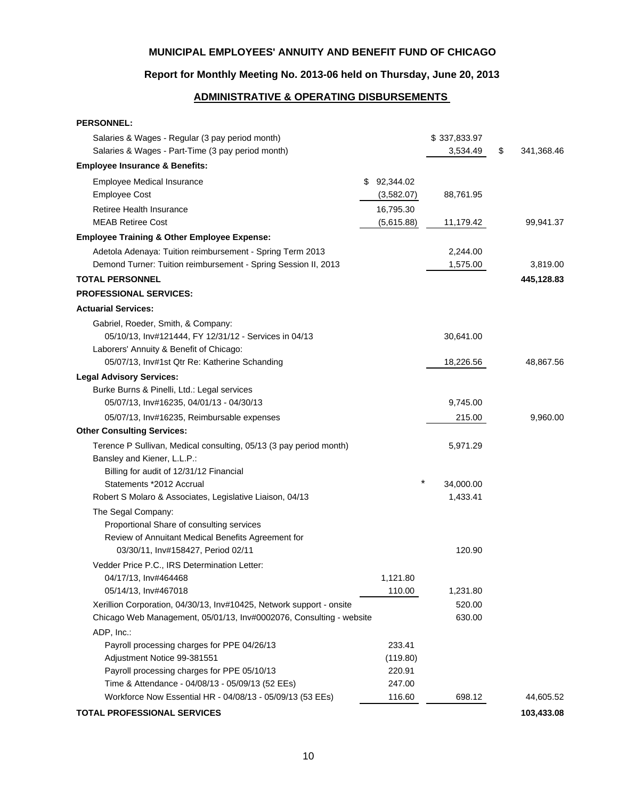## **Report for Monthly Meeting No. 2013-06 held on Thursday, June 20, 2013**

## **ADMINISTRATIVE & OPERATING DISBURSEMENTS**

| <b>PERSONNEL:</b>                                                          |                    |              |                  |
|----------------------------------------------------------------------------|--------------------|--------------|------------------|
| Salaries & Wages - Regular (3 pay period month)                            |                    | \$337,833.97 |                  |
| Salaries & Wages - Part-Time (3 pay period month)                          |                    | 3,534.49     | \$<br>341,368.46 |
| <b>Employee Insurance &amp; Benefits:</b>                                  |                    |              |                  |
| Employee Medical Insurance                                                 | 92,344.02<br>\$.   |              |                  |
| <b>Employee Cost</b>                                                       | (3,582.07)         | 88,761.95    |                  |
| Retiree Health Insurance                                                   | 16,795.30          |              |                  |
| <b>MEAB Retiree Cost</b>                                                   | (5,615.88)         | 11,179.42    | 99,941.37        |
| <b>Employee Training &amp; Other Employee Expense:</b>                     |                    |              |                  |
| Adetola Adenaya: Tuition reimbursement - Spring Term 2013                  |                    | 2,244.00     |                  |
| Demond Turner: Tuition reimbursement - Spring Session II, 2013             |                    | 1,575.00     | 3,819.00         |
| <b>TOTAL PERSONNEL</b>                                                     |                    |              | 445,128.83       |
| <b>PROFESSIONAL SERVICES:</b>                                              |                    |              |                  |
| <b>Actuarial Services:</b>                                                 |                    |              |                  |
| Gabriel, Roeder, Smith, & Company:                                         |                    |              |                  |
| 05/10/13, Inv#121444, FY 12/31/12 - Services in 04/13                      |                    | 30,641.00    |                  |
| Laborers' Annuity & Benefit of Chicago:                                    |                    |              |                  |
| 05/07/13, Inv#1st Qtr Re: Katherine Schanding                              |                    | 18,226.56    | 48,867.56        |
| <b>Legal Advisory Services:</b>                                            |                    |              |                  |
| Burke Burns & Pinelli, Ltd.: Legal services                                |                    |              |                  |
| 05/07/13, Inv#16235, 04/01/13 - 04/30/13                                   |                    | 9,745.00     |                  |
| 05/07/13, Inv#16235, Reimbursable expenses                                 |                    | 215.00       | 9,960.00         |
| <b>Other Consulting Services:</b>                                          |                    |              |                  |
| Terence P Sullivan, Medical consulting, 05/13 (3 pay period month)         |                    | 5,971.29     |                  |
| Bansley and Kiener, L.L.P.:                                                |                    |              |                  |
| Billing for audit of 12/31/12 Financial                                    |                    |              |                  |
| Statements *2012 Accrual                                                   |                    | 34,000.00    |                  |
| Robert S Molaro & Associates, Legislative Liaison, 04/13                   |                    | 1,433.41     |                  |
| The Segal Company:                                                         |                    |              |                  |
| Proportional Share of consulting services                                  |                    |              |                  |
| Review of Annuitant Medical Benefits Agreement for                         |                    |              |                  |
| 03/30/11, Inv#158427, Period 02/11                                         |                    | 120.90       |                  |
| Vedder Price P.C., IRS Determination Letter:                               |                    |              |                  |
| 04/17/13, Inv#464468                                                       | 1,121.80           |              |                  |
| 05/14/13, Inv#467018                                                       | 110.00             | 1,231.80     |                  |
| Xerillion Corporation, 04/30/13, Inv#10425, Network support - onsite       |                    | 520.00       |                  |
| Chicago Web Management, 05/01/13, Inv#0002076, Consulting - website        |                    | 630.00       |                  |
| ADP, Inc.:                                                                 |                    |              |                  |
| Payroll processing charges for PPE 04/26/13<br>Adjustment Notice 99-381551 | 233.41<br>(119.80) |              |                  |
| Payroll processing charges for PPE 05/10/13                                | 220.91             |              |                  |
| Time & Attendance - 04/08/13 - 05/09/13 (52 EEs)                           | 247.00             |              |                  |
| Workforce Now Essential HR - 04/08/13 - 05/09/13 (53 EEs)                  | 116.60             | 698.12       | 44,605.52        |
| <b>TOTAL PROFESSIONAL SERVICES</b>                                         |                    |              | 103,433.08       |
|                                                                            |                    |              |                  |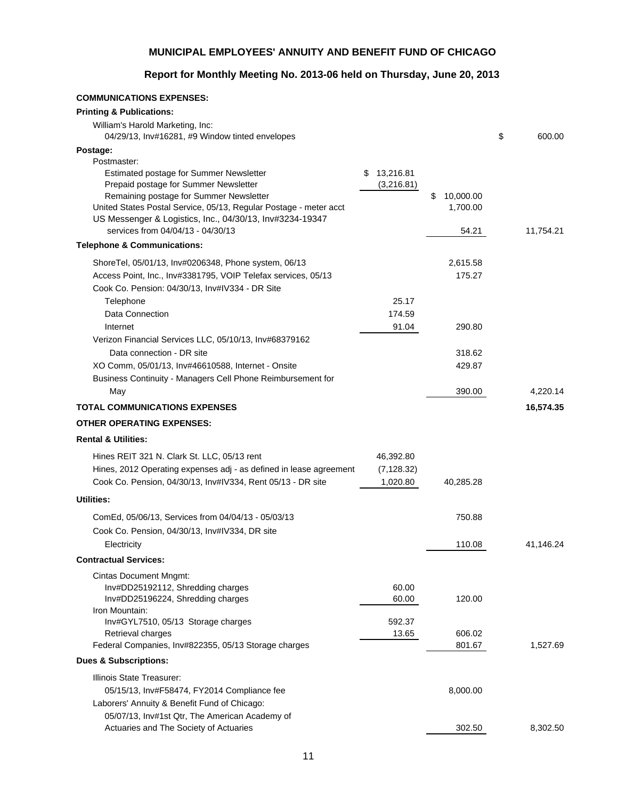## **Report for Monthly Meeting No. 2013-06 held on Thursday, June 20, 2013**

| <b>COMMUNICATIONS EXPENSES:</b>                                                                                               |                 |                 |              |
|-------------------------------------------------------------------------------------------------------------------------------|-----------------|-----------------|--------------|
| <b>Printing &amp; Publications:</b>                                                                                           |                 |                 |              |
| William's Harold Marketing, Inc:                                                                                              |                 |                 |              |
| 04/29/13, Inv#16281, #9 Window tinted envelopes                                                                               |                 |                 | \$<br>600.00 |
| Postage:                                                                                                                      |                 |                 |              |
| Postmaster:                                                                                                                   |                 |                 |              |
| <b>Estimated postage for Summer Newsletter</b>                                                                                | 13,216.81<br>S. |                 |              |
| Prepaid postage for Summer Newsletter                                                                                         | (3,216.81)      |                 |              |
| Remaining postage for Summer Newsletter                                                                                       |                 | \$<br>10,000.00 |              |
| United States Postal Service, 05/13, Regular Postage - meter acct<br>US Messenger & Logistics, Inc., 04/30/13, Inv#3234-19347 |                 | 1,700.00        |              |
| services from 04/04/13 - 04/30/13                                                                                             |                 | 54.21           | 11,754.21    |
| <b>Telephone &amp; Communications:</b>                                                                                        |                 |                 |              |
|                                                                                                                               |                 |                 |              |
| ShoreTel, 05/01/13, Inv#0206348, Phone system, 06/13                                                                          |                 | 2,615.58        |              |
| Access Point, Inc., Inv#3381795, VOIP Telefax services, 05/13                                                                 |                 | 175.27          |              |
| Cook Co. Pension: 04/30/13, Inv#IV334 - DR Site                                                                               |                 |                 |              |
| Telephone                                                                                                                     | 25.17           |                 |              |
| Data Connection                                                                                                               | 174.59          |                 |              |
| Internet                                                                                                                      | 91.04           | 290.80          |              |
| Verizon Financial Services LLC, 05/10/13, Inv#68379162                                                                        |                 |                 |              |
| Data connection - DR site                                                                                                     |                 | 318.62          |              |
| XO Comm, 05/01/13, Inv#46610588, Internet - Onsite                                                                            |                 | 429.87          |              |
| Business Continuity - Managers Cell Phone Reimbursement for                                                                   |                 |                 |              |
| May                                                                                                                           |                 | 390.00          | 4,220.14     |
| <b>TOTAL COMMUNICATIONS EXPENSES</b>                                                                                          |                 |                 | 16,574.35    |
| <b>OTHER OPERATING EXPENSES:</b>                                                                                              |                 |                 |              |
| <b>Rental &amp; Utilities:</b>                                                                                                |                 |                 |              |
| Hines REIT 321 N. Clark St. LLC, 05/13 rent                                                                                   | 46,392.80       |                 |              |
| Hines, 2012 Operating expenses adj - as defined in lease agreement                                                            | (7, 128.32)     |                 |              |
| Cook Co. Pension, 04/30/13, Inv#IV334, Rent 05/13 - DR site                                                                   | 1,020.80        | 40,285.28       |              |
| Utilities:                                                                                                                    |                 |                 |              |
|                                                                                                                               |                 | 750.88          |              |
| ComEd, 05/06/13, Services from 04/04/13 - 05/03/13                                                                            |                 |                 |              |
| Cook Co. Pension, 04/30/13, Inv#IV334, DR site                                                                                |                 |                 |              |
| Electricity                                                                                                                   |                 | 110.08          | 41,146.24    |
| <b>Contractual Services:</b>                                                                                                  |                 |                 |              |
| <b>Cintas Document Mngmt:</b>                                                                                                 |                 |                 |              |
| Inv#DD25192112, Shredding charges                                                                                             | 60.00           |                 |              |
| Inv#DD25196224, Shredding charges                                                                                             | 60.00           | 120.00          |              |
| Iron Mountain:<br>Inv#GYL7510, 05/13 Storage charges                                                                          | 592.37          |                 |              |
| Retrieval charges                                                                                                             | 13.65           | 606.02          |              |
| Federal Companies, Inv#822355, 05/13 Storage charges                                                                          |                 | 801.67          | 1,527.69     |
| <b>Dues &amp; Subscriptions:</b>                                                                                              |                 |                 |              |
| Illinois State Treasurer:                                                                                                     |                 |                 |              |
| 05/15/13, Inv#F58474, FY2014 Compliance fee                                                                                   |                 | 8,000.00        |              |
| Laborers' Annuity & Benefit Fund of Chicago:                                                                                  |                 |                 |              |
| 05/07/13, Inv#1st Qtr, The American Academy of                                                                                |                 |                 |              |
| Actuaries and The Society of Actuaries                                                                                        |                 | 302.50          | 8,302.50     |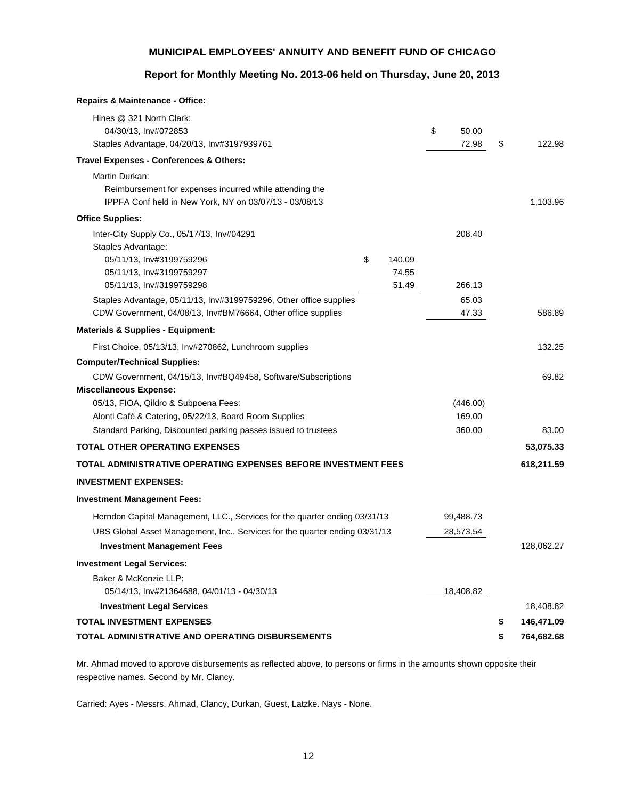## **Report for Monthly Meeting No. 2013-06 held on Thursday, June 20, 2013**

| <b>Repairs &amp; Maintenance - Office:</b>                                  |              |             |                  |
|-----------------------------------------------------------------------------|--------------|-------------|------------------|
| Hines @ 321 North Clark:                                                    |              |             |                  |
| 04/30/13, Inv#072853                                                        |              | \$<br>50.00 |                  |
| Staples Advantage, 04/20/13, Inv#3197939761                                 |              | 72.98       | \$<br>122.98     |
| Travel Expenses - Conferences & Others:                                     |              |             |                  |
| Martin Durkan:                                                              |              |             |                  |
| Reimbursement for expenses incurred while attending the                     |              |             |                  |
| IPPFA Conf held in New York, NY on 03/07/13 - 03/08/13                      |              |             | 1,103.96         |
| <b>Office Supplies:</b>                                                     |              |             |                  |
| Inter-City Supply Co., 05/17/13, Inv#04291                                  |              | 208.40      |                  |
| Staples Advantage:                                                          |              |             |                  |
| 05/11/13, Inv#3199759296                                                    | \$<br>140.09 |             |                  |
| 05/11/13, Inv#3199759297                                                    | 74.55        |             |                  |
| 05/11/13, Inv#3199759298                                                    | 51.49        | 266.13      |                  |
| Staples Advantage, 05/11/13, Inv#3199759296, Other office supplies          |              | 65.03       |                  |
| CDW Government, 04/08/13, Inv#BM76664, Other office supplies                |              | 47.33       | 586.89           |
| <b>Materials &amp; Supplies - Equipment:</b>                                |              |             |                  |
| First Choice, 05/13/13, Inv#270862, Lunchroom supplies                      |              |             | 132.25           |
| <b>Computer/Technical Supplies:</b>                                         |              |             |                  |
| CDW Government, 04/15/13, Inv#BQ49458, Software/Subscriptions               |              |             | 69.82            |
| <b>Miscellaneous Expense:</b>                                               |              |             |                  |
| 05/13, FIOA, Qildro & Subpoena Fees:                                        |              | (446.00)    |                  |
| Alonti Café & Catering, 05/22/13, Board Room Supplies                       |              | 169.00      |                  |
| Standard Parking, Discounted parking passes issued to trustees              |              | 360.00      | 83.00            |
| <b>TOTAL OTHER OPERATING EXPENSES</b>                                       |              |             | 53,075.33        |
| TOTAL ADMINISTRATIVE OPERATING EXPENSES BEFORE INVESTMENT FEES              |              |             | 618,211.59       |
| <b>INVESTMENT EXPENSES:</b>                                                 |              |             |                  |
| <b>Investment Management Fees:</b>                                          |              |             |                  |
| Herndon Capital Management, LLC., Services for the quarter ending 03/31/13  |              | 99,488.73   |                  |
| UBS Global Asset Management, Inc., Services for the quarter ending 03/31/13 |              | 28,573.54   |                  |
| <b>Investment Management Fees</b>                                           |              |             | 128,062.27       |
| <b>Investment Legal Services:</b>                                           |              |             |                  |
| Baker & McKenzie LLP:                                                       |              |             |                  |
| 05/14/13, Inv#21364688, 04/01/13 - 04/30/13                                 |              | 18,408.82   |                  |
| <b>Investment Legal Services</b>                                            |              |             | 18,408.82        |
| <b>TOTAL INVESTMENT EXPENSES</b>                                            |              |             | \$<br>146,471.09 |
| TOTAL ADMINISTRATIVE AND OPERATING DISBURSEMENTS                            |              |             | \$<br>764,682.68 |
|                                                                             |              |             |                  |

Mr. Ahmad moved to approve disbursements as reflected above, to persons or firms in the amounts shown opposite their respective names. Second by Mr. Clancy.

Carried: Ayes - Messrs. Ahmad, Clancy, Durkan, Guest, Latzke. Nays - None.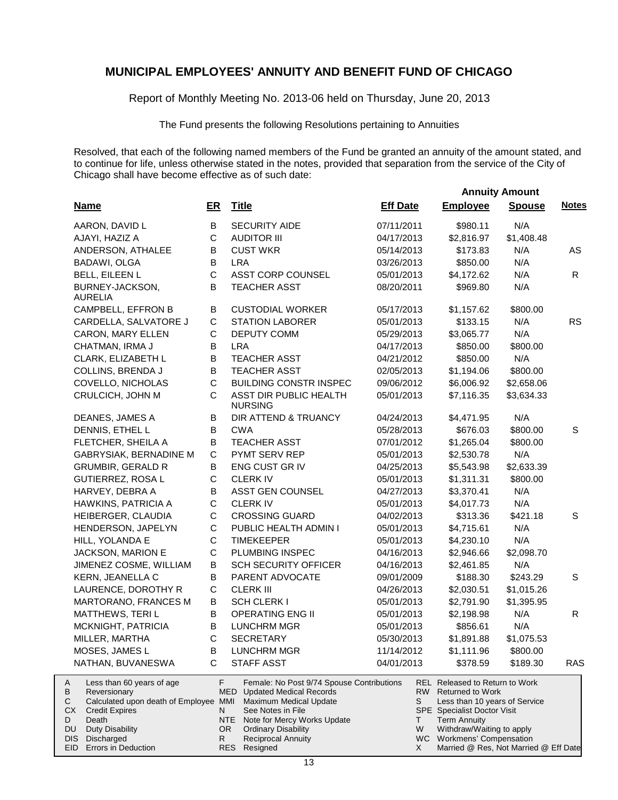Report of Monthly Meeting No. 2013-06 held on Thursday, June 20, 2013

The Fund presents the following Resolutions pertaining to Annuities

Resolved, that each of the following named members of the Fund be granted an annuity of the amount stated, and to continue for life, unless otherwise stated in the notes, provided that separation from the service of the City of Chicago shall have become effective as of such date:

|                                     |                                                                                                                                                       |                |                                                                                                                                                                                                                                          |                 |                                                                                                                                                                                                               | <b>Annuity Amount</b> |              |
|-------------------------------------|-------------------------------------------------------------------------------------------------------------------------------------------------------|----------------|------------------------------------------------------------------------------------------------------------------------------------------------------------------------------------------------------------------------------------------|-----------------|---------------------------------------------------------------------------------------------------------------------------------------------------------------------------------------------------------------|-----------------------|--------------|
|                                     | <b>Name</b>                                                                                                                                           | ER             | <b>Title</b>                                                                                                                                                                                                                             | <b>Eff Date</b> | <b>Employee</b>                                                                                                                                                                                               | <b>Spouse</b>         | <b>Notes</b> |
|                                     | AARON, DAVID L                                                                                                                                        | В              | <b>SECURITY AIDE</b>                                                                                                                                                                                                                     | 07/11/2011      | \$980.11                                                                                                                                                                                                      | N/A                   |              |
|                                     | AJAYI, HAZIZ A                                                                                                                                        | $\mathsf C$    | <b>AUDITOR III</b>                                                                                                                                                                                                                       | 04/17/2013      | \$2,816.97                                                                                                                                                                                                    | \$1,408.48            |              |
|                                     | ANDERSON, ATHALEE                                                                                                                                     | B              | <b>CUST WKR</b>                                                                                                                                                                                                                          | 05/14/2013      | \$173.83                                                                                                                                                                                                      | N/A                   | AS           |
|                                     | BADAWI, OLGA                                                                                                                                          | B              | <b>LRA</b>                                                                                                                                                                                                                               | 03/26/2013      | \$850.00                                                                                                                                                                                                      | N/A                   |              |
|                                     | BELL, EILEEN L                                                                                                                                        | $\mathsf{C}$   | ASST CORP COUNSEL                                                                                                                                                                                                                        | 05/01/2013      | \$4,172.62                                                                                                                                                                                                    | N/A                   | R            |
|                                     | BURNEY-JACKSON,<br><b>AURELIA</b>                                                                                                                     | B              | <b>TEACHER ASST</b>                                                                                                                                                                                                                      | 08/20/2011      | \$969.80                                                                                                                                                                                                      | N/A                   |              |
|                                     | CAMPBELL, EFFRON B                                                                                                                                    | В              | <b>CUSTODIAL WORKER</b>                                                                                                                                                                                                                  | 05/17/2013      | \$1,157.62                                                                                                                                                                                                    | \$800.00              |              |
|                                     | CARDELLA, SALVATORE J                                                                                                                                 | C              | <b>STATION LABORER</b>                                                                                                                                                                                                                   | 05/01/2013      | \$133.15                                                                                                                                                                                                      | N/A                   | <b>RS</b>    |
|                                     | CARON, MARY ELLEN                                                                                                                                     | C              | <b>DEPUTY COMM</b>                                                                                                                                                                                                                       | 05/29/2013      | \$3,065.77                                                                                                                                                                                                    | N/A                   |              |
|                                     | CHATMAN, IRMA J                                                                                                                                       | B              | <b>LRA</b>                                                                                                                                                                                                                               | 04/17/2013      | \$850.00                                                                                                                                                                                                      | \$800.00              |              |
|                                     | CLARK, ELIZABETH L                                                                                                                                    | B              | <b>TEACHER ASST</b>                                                                                                                                                                                                                      | 04/21/2012      | \$850.00                                                                                                                                                                                                      | N/A                   |              |
|                                     | COLLINS, BRENDA J                                                                                                                                     | B              | <b>TEACHER ASST</b>                                                                                                                                                                                                                      | 02/05/2013      | \$1,194.06                                                                                                                                                                                                    | \$800.00              |              |
|                                     | COVELLO, NICHOLAS                                                                                                                                     | $\mathsf C$    | <b>BUILDING CONSTR INSPEC</b>                                                                                                                                                                                                            | 09/06/2012      | \$6,006.92                                                                                                                                                                                                    | \$2,658.06            |              |
|                                     | CRULCICH, JOHN M                                                                                                                                      | C              | ASST DIR PUBLIC HEALTH<br><b>NURSING</b>                                                                                                                                                                                                 | 05/01/2013      | \$7,116.35                                                                                                                                                                                                    | \$3,634.33            |              |
|                                     | DEANES, JAMES A                                                                                                                                       | В              | DIR ATTEND & TRUANCY                                                                                                                                                                                                                     | 04/24/2013      | \$4,471.95                                                                                                                                                                                                    | N/A                   |              |
|                                     | DENNIS, ETHEL L                                                                                                                                       | B              | <b>CWA</b>                                                                                                                                                                                                                               | 05/28/2013      | \$676.03                                                                                                                                                                                                      | \$800.00              | S            |
|                                     | FLETCHER, SHEILA A                                                                                                                                    | В              | <b>TEACHER ASST</b>                                                                                                                                                                                                                      | 07/01/2012      | \$1,265.04                                                                                                                                                                                                    | \$800.00              |              |
|                                     | GABRYSIAK, BERNADINE M                                                                                                                                | $\mathsf C$    | PYMT SERV REP                                                                                                                                                                                                                            | 05/01/2013      | \$2,530.78                                                                                                                                                                                                    | N/A                   |              |
|                                     | <b>GRUMBIR, GERALD R</b>                                                                                                                              | В              | ENG CUST GR IV                                                                                                                                                                                                                           | 04/25/2013      | \$5,543.98                                                                                                                                                                                                    | \$2,633.39            |              |
|                                     | GUTIERREZ, ROSA L                                                                                                                                     | $\mathsf C$    | <b>CLERKIV</b>                                                                                                                                                                                                                           | 05/01/2013      | \$1,311.31                                                                                                                                                                                                    | \$800.00              |              |
|                                     | HARVEY, DEBRA A                                                                                                                                       | B              | ASST GEN COUNSEL                                                                                                                                                                                                                         | 04/27/2013      | \$3,370.41                                                                                                                                                                                                    | N/A                   |              |
|                                     | HAWKINS, PATRICIA A                                                                                                                                   | $\mathsf C$    | <b>CLERK IV</b>                                                                                                                                                                                                                          | 05/01/2013      | \$4,017.73                                                                                                                                                                                                    | N/A                   |              |
|                                     | HEIBERGER, CLAUDIA                                                                                                                                    | $\mathsf C$    | <b>CROSSING GUARD</b>                                                                                                                                                                                                                    | 04/02/2013      | \$313.36                                                                                                                                                                                                      | \$421.18              | S            |
|                                     | HENDERSON, JAPELYN                                                                                                                                    | $\mathsf C$    | PUBLIC HEALTH ADMIN I                                                                                                                                                                                                                    | 05/01/2013      | \$4,715.61                                                                                                                                                                                                    | N/A                   |              |
|                                     | HILL, YOLANDA E                                                                                                                                       | $\mathsf C$    | <b>TIMEKEEPER</b>                                                                                                                                                                                                                        | 05/01/2013      | \$4,230.10                                                                                                                                                                                                    | N/A                   |              |
|                                     | JACKSON, MARION E                                                                                                                                     | C              | PLUMBING INSPEC                                                                                                                                                                                                                          | 04/16/2013      | \$2,946.66                                                                                                                                                                                                    | \$2,098.70            |              |
|                                     | JIMENEZ COSME, WILLIAM                                                                                                                                | В              | <b>SCH SECURITY OFFICER</b>                                                                                                                                                                                                              | 04/16/2013      | \$2,461.85                                                                                                                                                                                                    | N/A                   |              |
|                                     | KERN, JEANELLA C                                                                                                                                      | В              | PARENT ADVOCATE                                                                                                                                                                                                                          | 09/01/2009      | \$188.30                                                                                                                                                                                                      | \$243.29              | S            |
|                                     | LAURENCE, DOROTHY R                                                                                                                                   | $\mathbf C$    | <b>CLERK III</b>                                                                                                                                                                                                                         | 04/26/2013      | \$2,030.51                                                                                                                                                                                                    | \$1,015.26            |              |
|                                     | MARTORANO, FRANCES M                                                                                                                                  | В              | SCH CLERK I                                                                                                                                                                                                                              | 05/01/2013      | \$2,791.90                                                                                                                                                                                                    | \$1,395.95            |              |
|                                     | MATTHEWS, TERIL                                                                                                                                       | В              | <b>OPERATING ENG II</b>                                                                                                                                                                                                                  | 05/01/2013      | \$2,198.98                                                                                                                                                                                                    | N/A                   | R            |
|                                     | MCKNIGHT, PATRICIA                                                                                                                                    | B              | <b>LUNCHRM MGR</b>                                                                                                                                                                                                                       | 05/01/2013      | \$856.61                                                                                                                                                                                                      | N/A                   |              |
|                                     | MILLER, MARTHA                                                                                                                                        | C              | <b>SECRETARY</b>                                                                                                                                                                                                                         | 05/30/2013      | \$1,891.88                                                                                                                                                                                                    | \$1,075.53            |              |
|                                     | MOSES, JAMES L                                                                                                                                        | в              | LUNCHRM MGR                                                                                                                                                                                                                              | 11/14/2012      | \$1,111.96                                                                                                                                                                                                    | \$800.00              |              |
|                                     | NATHAN, BUVANESWA                                                                                                                                     | С              | <b>STAFF ASST</b>                                                                                                                                                                                                                        | 04/01/2013      | \$378.59                                                                                                                                                                                                      | \$189.30              | <b>RAS</b>   |
| A<br>В<br>С<br>СX<br>D<br>DU<br>DIS | Less than 60 years of age<br>Reversionary<br>Calculated upon death of Employee MMI<br><b>Credit Expires</b><br>Death<br>Duty Disability<br>Discharged | F.<br>N.<br>R. | Female: No Post 9/74 Spouse Contributions<br><b>MED</b> Updated Medical Records<br>Maximum Medical Update<br>See Notes in File<br>NTE .<br>Note for Mercy Works Update<br>OR.<br><b>Ordinary Disability</b><br><b>Reciprocal Annuity</b> | S<br>T.<br>W    | <b>REL Released to Return to Work</b><br>RW Returned to Work<br>Less than 10 years of Service<br>SPE Specialist Doctor Visit<br><b>Term Annuity</b><br>Withdraw/Waiting to apply<br>WC Workmens' Compensation |                       |              |
|                                     | EID Errors in Deduction                                                                                                                               |                | RES Resigned                                                                                                                                                                                                                             | X               | Married @ Res, Not Married @ Eff Date                                                                                                                                                                         |                       |              |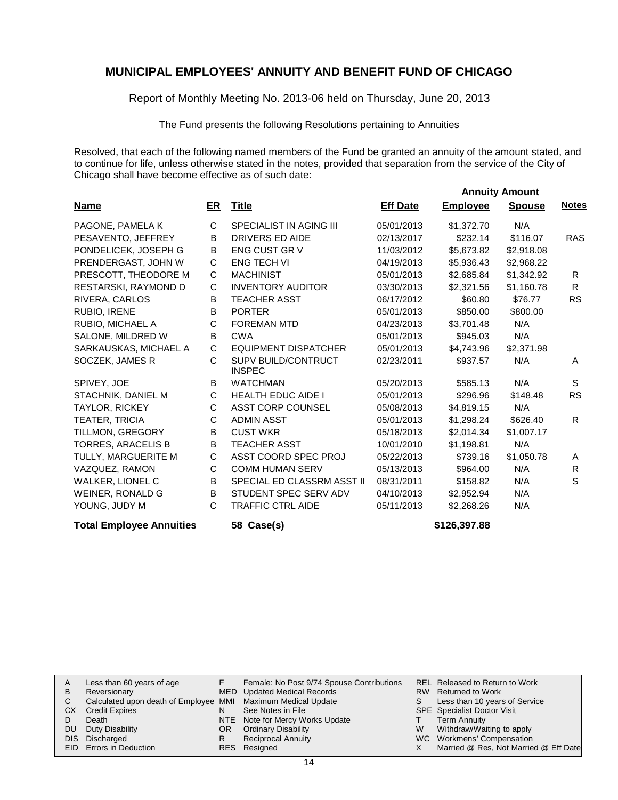Report of Monthly Meeting No. 2013-06 held on Thursday, June 20, 2013

The Fund presents the following Resolutions pertaining to Annuities

Resolved, that each of the following named members of the Fund be granted an annuity of the amount stated, and to continue for life, unless otherwise stated in the notes, provided that separation from the service of the City of Chicago shall have become effective as of such date:

 **Annuity Amount**

| <b>Name</b>                     | ER | <b>Title</b>                                | <b>Eff Date</b> | <b>Employee</b> | <b>Spouse</b> | <b>Notes</b> |
|---------------------------------|----|---------------------------------------------|-----------------|-----------------|---------------|--------------|
| PAGONE, PAMELA K                | C  | <b>SPECIALIST IN AGING III</b>              | 05/01/2013      | \$1,372.70      | N/A           |              |
| PESAVENTO, JEFFREY              | B  | <b>DRIVERS ED AIDE</b>                      | 02/13/2017      | \$232.14        | \$116.07      | <b>RAS</b>   |
| PONDELICEK, JOSEPH G            | B  | <b>ENG CUST GR V</b>                        | 11/03/2012      | \$5,673.82      | \$2,918.08    |              |
| PRENDERGAST, JOHN W             | С  | <b>ENG TECH VI</b>                          | 04/19/2013      | \$5,936.43      | \$2,968.22    |              |
| PRESCOTT, THEODORE M            | С  | <b>MACHINIST</b>                            | 05/01/2013      | \$2,685.84      | \$1,342.92    | R.           |
| RESTARSKI, RAYMOND D            | C  | <b>INVENTORY AUDITOR</b>                    | 03/30/2013      | \$2,321.56      | \$1,160.78    | R            |
| RIVERA, CARLOS                  | B  | <b>TEACHER ASST</b>                         | 06/17/2012      | \$60.80         | \$76.77       | <b>RS</b>    |
| RUBIO, IRENE                    | B  | <b>PORTER</b>                               | 05/01/2013      | \$850.00        | \$800.00      |              |
| RUBIO, MICHAEL A                | С  | <b>FOREMAN MTD</b>                          | 04/23/2013      | \$3,701.48      | N/A           |              |
| SALONE, MILDRED W               | В  | <b>CWA</b>                                  | 05/01/2013      | \$945.03        | N/A           |              |
| SARKAUSKAS, MICHAEL A           | C  | <b>EQUIPMENT DISPATCHER</b>                 | 05/01/2013      | \$4,743.96      | \$2,371.98    |              |
| SOCZEK, JAMES R                 | C  | <b>SUPV BUILD/CONTRUCT</b><br><b>INSPEC</b> | 02/23/2011      | \$937.57        | N/A           | A            |
| SPIVEY, JOE                     | B  | <b>WATCHMAN</b>                             | 05/20/2013      | \$585.13        | N/A           | S            |
| STACHNIK, DANIEL M              | C  | <b>HEALTH EDUC AIDE I</b>                   | 05/01/2013      | \$296.96        | \$148.48      | <b>RS</b>    |
| <b>TAYLOR, RICKEY</b>           | C  | <b>ASST CORP COUNSEL</b>                    | 05/08/2013      | \$4.819.15      | N/A           |              |
| TEATER, TRICIA                  | C  | <b>ADMIN ASST</b>                           | 05/01/2013      | \$1,298.24      | \$626.40      | R.           |
| TILLMON, GREGORY                | B  | <b>CUST WKR</b>                             | 05/18/2013      | \$2,014.34      | \$1,007.17    |              |
| <b>TORRES, ARACELIS B</b>       | B  | <b>TEACHER ASST</b>                         | 10/01/2010      | \$1,198.81      | N/A           |              |
| TULLY, MARGUERITE M             | С  | ASST COORD SPEC PROJ                        | 05/22/2013      | \$739.16        | \$1,050.78    | A            |
| VAZQUEZ, RAMON                  | C  | <b>COMM HUMAN SERV</b>                      | 05/13/2013      | \$964.00        | N/A           | R.           |
| <b>WALKER, LIONEL C</b>         | B  | SPECIAL ED CLASSRM ASST II                  | 08/31/2011      | \$158.82        | N/A           | S            |
| WEINER, RONALD G                | B  | STUDENT SPEC SERV ADV                       | 04/10/2013      | \$2,952.94      | N/A           |              |
| YOUNG, JUDY M                   | C  | <b>TRAFFIC CTRL AIDE</b>                    | 05/11/2013      | \$2,268.26      | N/A           |              |
| <b>Total Employee Annuities</b> |    | 58 Case(s)                                  |                 | \$126,397.88    |               |              |

| A<br>в<br>C<br>CХ<br>DU<br>DIS. | Less than 60 years of age<br>Reversionary<br>Calculated upon death of Employee MMI Maximum Medical Update<br><b>Credit Expires</b><br>Death<br>Duty Disability<br>Discharged<br>EID Errors in Deduction | MED<br>N<br>NTE<br>OR.<br>R | Female: No Post 9/74 Spouse Contributions<br><b>Updated Medical Records</b><br>See Notes in File<br>Note for Mercy Works Update<br><b>Ordinary Disability</b><br><b>Reciprocal Annuity</b><br>RES Resigned | W | REL Released to Return to Work<br>RW Returned to Work<br>Less than 10 years of Service<br><b>SPE</b> Specialist Doctor Visit<br><b>Term Annuity</b><br>Withdraw/Waiting to apply<br>WC Workmens' Compensation<br>Married @ Res, Not Married @ Eff Date |
|---------------------------------|---------------------------------------------------------------------------------------------------------------------------------------------------------------------------------------------------------|-----------------------------|------------------------------------------------------------------------------------------------------------------------------------------------------------------------------------------------------------|---|--------------------------------------------------------------------------------------------------------------------------------------------------------------------------------------------------------------------------------------------------------|
|---------------------------------|---------------------------------------------------------------------------------------------------------------------------------------------------------------------------------------------------------|-----------------------------|------------------------------------------------------------------------------------------------------------------------------------------------------------------------------------------------------------|---|--------------------------------------------------------------------------------------------------------------------------------------------------------------------------------------------------------------------------------------------------------|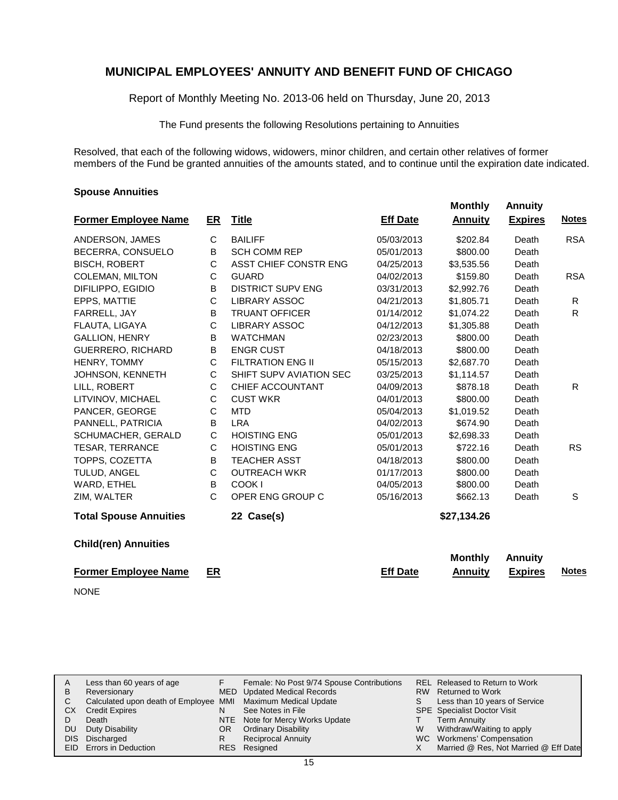Report of Monthly Meeting No. 2013-06 held on Thursday, June 20, 2013

The Fund presents the following Resolutions pertaining to Annuities

Resolved, that each of the following widows, widowers, minor children, and certain other relatives of former members of the Fund be granted annuities of the amounts stated, and to continue until the expiration date indicated.

 **Monthly Annuity**

#### **Spouse Annuities**

| <b>Former Employee Name</b>   | ER | <b>Title</b>             | <b>Eff Date</b> | <b>Annuity</b> | <b>Expires</b> | <b>Notes</b> |
|-------------------------------|----|--------------------------|-----------------|----------------|----------------|--------------|
| ANDERSON, JAMES               | C  | <b>BAILIFF</b>           | 05/03/2013      | \$202.84       | Death          | <b>RSA</b>   |
| BECERRA, CONSUELO             | B  | <b>SCH COMM REP</b>      | 05/01/2013      | \$800.00       | Death          |              |
| <b>BISCH, ROBERT</b>          | C  | ASST CHIEF CONSTR ENG    | 04/25/2013      | \$3,535.56     | Death          |              |
| <b>COLEMAN, MILTON</b>        | С  | <b>GUARD</b>             | 04/02/2013      | \$159.80       | Death          | <b>RSA</b>   |
| DIFILIPPO, EGIDIO             | B  | <b>DISTRICT SUPV ENG</b> | 03/31/2013      | \$2,992.76     | Death          |              |
| EPPS, MATTIE                  | C  | <b>LIBRARY ASSOC</b>     | 04/21/2013      | \$1,805.71     | Death          | R            |
| FARRELL, JAY                  | В  | <b>TRUANT OFFICER</b>    | 01/14/2012      | \$1,074.22     | Death          | R.           |
| FLAUTA, LIGAYA                | C  | <b>LIBRARY ASSOC</b>     | 04/12/2013      | \$1,305.88     | Death          |              |
| <b>GALLION, HENRY</b>         | В  | <b>WATCHMAN</b>          | 02/23/2013      | \$800.00       | Death          |              |
| <b>GUERRERO, RICHARD</b>      | B  | <b>ENGR CUST</b>         | 04/18/2013      | \$800.00       | Death          |              |
| HENRY, TOMMY                  | C  | <b>FILTRATION ENG II</b> | 05/15/2013      | \$2,687.70     | Death          |              |
| JOHNSON, KENNETH              | C  | SHIFT SUPV AVIATION SEC  | 03/25/2013      | \$1,114.57     | Death          |              |
| LILL, ROBERT                  | С  | CHIEF ACCOUNTANT         | 04/09/2013      | \$878.18       | Death          | R.           |
| LITVINOV, MICHAEL             | C  | <b>CUST WKR</b>          | 04/01/2013      | \$800.00       | Death          |              |
| PANCER, GEORGE                | C  | <b>MTD</b>               | 05/04/2013      | \$1,019.52     | Death          |              |
| PANNELL, PATRICIA             | B  | <b>LRA</b>               | 04/02/2013      | \$674.90       | Death          |              |
| SCHUMACHER, GERALD            | С  | <b>HOISTING ENG</b>      | 05/01/2013      | \$2,698.33     | Death          |              |
| <b>TESAR, TERRANCE</b>        | С  | <b>HOISTING ENG</b>      | 05/01/2013      | \$722.16       | Death          | <b>RS</b>    |
| TOPPS, COZETTA                | В  | <b>TEACHER ASST</b>      | 04/18/2013      | \$800.00       | Death          |              |
| TULUD, ANGEL                  | C  | <b>OUTREACH WKR</b>      | 01/17/2013      | \$800.00       | Death          |              |
| WARD, ETHEL                   | B  | COOK I                   | 04/05/2013      | \$800.00       | Death          |              |
| ZIM, WALTER                   | C  | OPER ENG GROUP C         | 05/16/2013      | \$662.13       | Death          | S            |
| <b>Total Spouse Annuities</b> |    | 22 Case(s)               |                 | \$27,134.26    |                |              |
| <b>Child(ren) Annuities</b>   |    |                          |                 |                |                |              |
|                               |    |                          |                 | <b>Monthly</b> | <b>Annuity</b> |              |
| <b>Former Employee Name</b>   | ER |                          | <b>Eff Date</b> | <b>Annuity</b> | <b>Expires</b> | <b>Notes</b> |
| <b>NONE</b>                   |    |                          |                 |                |                |              |

|    | Less than 60 years of age                                    |     | Female: No Post 9/74 Spouse Contributions |    | REL Released to Return to Work        |
|----|--------------------------------------------------------------|-----|-------------------------------------------|----|---------------------------------------|
| B  | Reversionary                                                 |     | MED Updated Medical Records               |    | RW Returned to Work                   |
|    | Calculated upon death of Employee MMI Maximum Medical Update |     |                                           | S. | Less than 10 years of Service         |
| СX | <b>Credit Expires</b>                                        |     | See Notes in File                         |    | <b>SPE</b> Specialist Doctor Visit    |
|    | Death                                                        |     | NTE Note for Mercy Works Update           |    | <b>Term Annuity</b>                   |
| DU | Duty Disability                                              | OR. | <b>Ordinary Disability</b>                | W  | Withdraw/Waiting to apply             |
|    | DIS Discharged                                               |     | <b>Reciprocal Annuity</b>                 |    | WC Workmens' Compensation             |
|    | <b>EID</b> Errors in Deduction                               |     | RES Resigned                              |    | Married @ Res, Not Married @ Eff Date |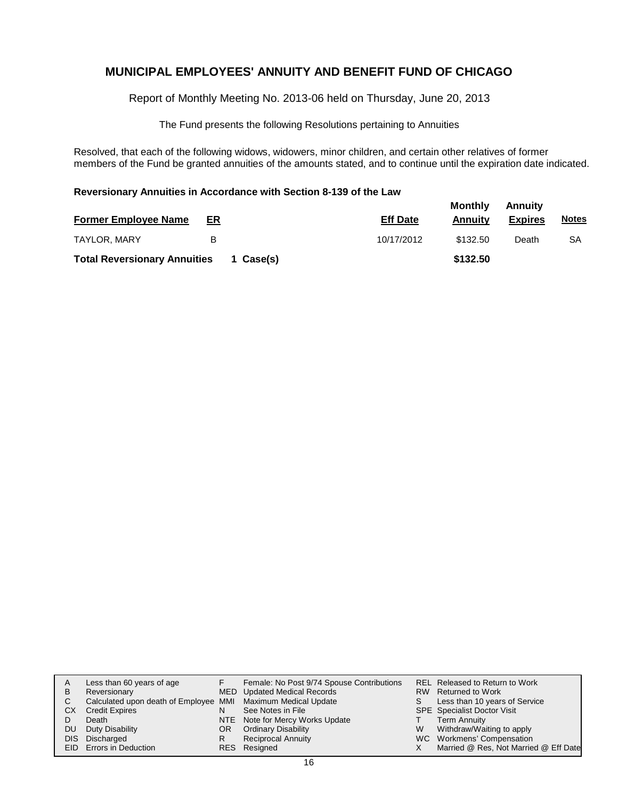Report of Monthly Meeting No. 2013-06 held on Thursday, June 20, 2013

The Fund presents the following Resolutions pertaining to Annuities

Resolved, that each of the following widows, widowers, minor children, and certain other relatives of former members of the Fund be granted annuities of the amounts stated, and to continue until the expiration date indicated.

#### **Reversionary Annuities in Accordance with Section 8-139 of the Law**

| <b>Former Employee Name</b>         | ER        | <b>Eff Date</b> | <b>Monthly</b><br>Annuitv | Annuity<br><b>Expires</b> | <b>Notes</b> |
|-------------------------------------|-----------|-----------------|---------------------------|---------------------------|--------------|
| TAYLOR, MARY                        | в         | 10/17/2012      | \$132.50                  | Death                     | SΑ           |
| <b>Total Reversionary Annuities</b> | 1 Case(s) |                 | \$132.50                  |                           |              |

| в<br>С<br>СX<br>DU<br>DIS. | Less than 60 years of age<br>Reversionary<br>Calculated upon death of Employee MMI Maximum Medical Update<br><b>Credit Expires</b><br>Death<br>Duty Disability<br>Discharged<br>EID Errors in Deduction | N<br>OR<br>R | Female: No Post 9/74 Spouse Contributions<br>MED Updated Medical Records<br>See Notes in File<br>NTE Note for Mercy Works Update<br><b>Ordinary Disability</b><br><b>Reciprocal Annuity</b><br>RES Resigned | S.<br>W | REL Released to Return to Work<br>RW Returned to Work<br>Less than 10 years of Service<br><b>SPE</b> Specialist Doctor Visit<br><b>Term Annuity</b><br>Withdraw/Waiting to apply<br>WC Workmens' Compensation<br>Married @ Res, Not Married @ Eff Date |
|----------------------------|---------------------------------------------------------------------------------------------------------------------------------------------------------------------------------------------------------|--------------|-------------------------------------------------------------------------------------------------------------------------------------------------------------------------------------------------------------|---------|--------------------------------------------------------------------------------------------------------------------------------------------------------------------------------------------------------------------------------------------------------|
|----------------------------|---------------------------------------------------------------------------------------------------------------------------------------------------------------------------------------------------------|--------------|-------------------------------------------------------------------------------------------------------------------------------------------------------------------------------------------------------------|---------|--------------------------------------------------------------------------------------------------------------------------------------------------------------------------------------------------------------------------------------------------------|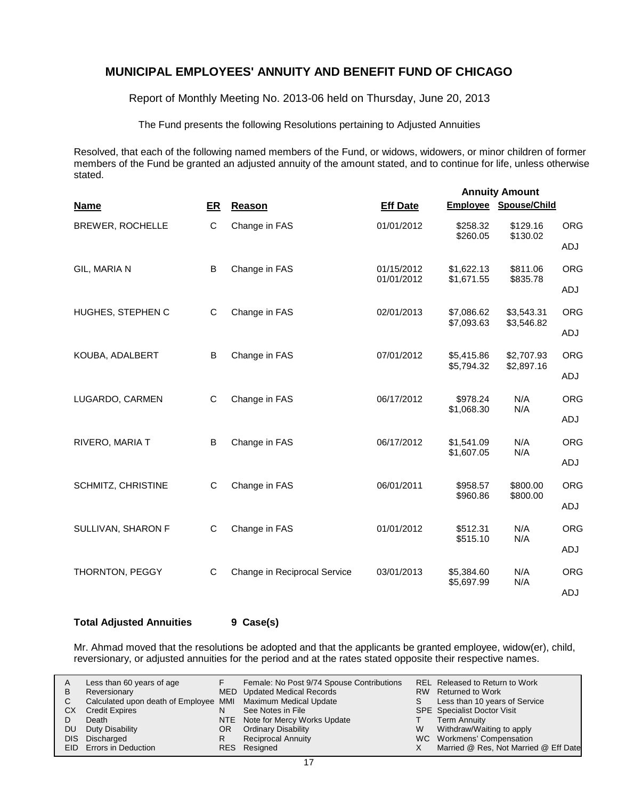Report of Monthly Meeting No. 2013-06 held on Thursday, June 20, 2013

The Fund presents the following Resolutions pertaining to Adjusted Annuities

Resolved, that each of the following named members of the Fund, or widows, widowers, or minor children of former members of the Fund be granted an adjusted annuity of the amount stated, and to continue for life, unless otherwise stated.

|                    |    |                              | <b>Annuity Amount</b>    |                          |                          |            |  |  |
|--------------------|----|------------------------------|--------------------------|--------------------------|--------------------------|------------|--|--|
| <b>Name</b>        | ER | Reason                       | <b>Eff Date</b>          |                          | Employee Spouse/Child    |            |  |  |
| BREWER, ROCHELLE   | C  | Change in FAS                | 01/01/2012               | \$258.32<br>\$260.05     | \$129.16<br>\$130.02     | <b>ORG</b> |  |  |
|                    |    |                              |                          |                          |                          | ADJ        |  |  |
| GIL, MARIA N       | B  | Change in FAS                | 01/15/2012<br>01/01/2012 | \$1,622.13<br>\$1,671.55 | \$811.06<br>\$835.78     | <b>ORG</b> |  |  |
|                    |    |                              |                          |                          |                          | ADJ        |  |  |
| HUGHES, STEPHEN C  | C  | Change in FAS                | 02/01/2013               | \$7,086.62<br>\$7,093.63 | \$3,543.31<br>\$3,546.82 | <b>ORG</b> |  |  |
|                    |    |                              |                          |                          |                          | ADJ        |  |  |
| KOUBA, ADALBERT    | B  | Change in FAS                | 07/01/2012               | \$5,415.86<br>\$5,794.32 | \$2,707.93<br>\$2,897.16 | <b>ORG</b> |  |  |
|                    |    |                              |                          |                          |                          | ADJ        |  |  |
| LUGARDO, CARMEN    | C  | Change in FAS                | 06/17/2012               | \$978.24<br>\$1,068.30   | N/A<br>N/A               | <b>ORG</b> |  |  |
|                    |    |                              |                          |                          |                          | ADJ        |  |  |
| RIVERO, MARIA T    | B  | Change in FAS                | 06/17/2012               | \$1,541.09               | N/A                      | <b>ORG</b> |  |  |
|                    |    |                              |                          | \$1,607.05               | N/A                      | ADJ        |  |  |
| SCHMITZ, CHRISTINE | C  | Change in FAS                | 06/01/2011               | \$958.57                 | \$800.00                 | <b>ORG</b> |  |  |
|                    |    |                              |                          | \$960.86                 | \$800.00                 | ADJ        |  |  |
| SULLIVAN, SHARON F | C  | Change in FAS                | 01/01/2012               | \$512.31                 | N/A                      | <b>ORG</b> |  |  |
|                    |    |                              |                          | \$515.10                 | N/A                      | ADJ        |  |  |
| THORNTON, PEGGY    | C  | Change in Reciprocal Service | 03/01/2013               | \$5,384.60               | N/A                      | <b>ORG</b> |  |  |
|                    |    |                              |                          | \$5,697.99               | N/A                      | ADJ        |  |  |

**Total Adjusted Annuities 9 Case(s)**

Mr. Ahmad moved that the resolutions be adopted and that the applicants be granted employee, widow(er), child, reversionary, or adjusted annuities for the period and at the rates stated opposite their respective names.

| A   | Less than 60 years of age                                    |     | Female: No Post 9/74 Spouse Contributions |    | REL Released to Return to Work        |
|-----|--------------------------------------------------------------|-----|-------------------------------------------|----|---------------------------------------|
| B   | Reversionary                                                 |     | MED Updated Medical Records               |    | RW Returned to Work                   |
|     | Calculated upon death of Employee MMI Maximum Medical Update |     |                                           | S. | Less than 10 years of Service         |
| СX  | <b>Credit Expires</b>                                        |     | See Notes in File                         |    | <b>SPE</b> Specialist Doctor Visit    |
|     | Death                                                        |     | NTE Note for Mercy Works Update           |    | <b>Term Annuity</b>                   |
| DU. | Duty Disability                                              | OR. | <b>Ordinary Disability</b>                | W  | Withdraw/Waiting to apply             |
|     | DIS Discharged                                               |     | <b>Reciprocal Annuity</b>                 |    | WC Workmens' Compensation             |
|     | <b>EID</b> Errors in Deduction                               |     | RES Resigned                              |    | Married @ Res, Not Married @ Eff Date |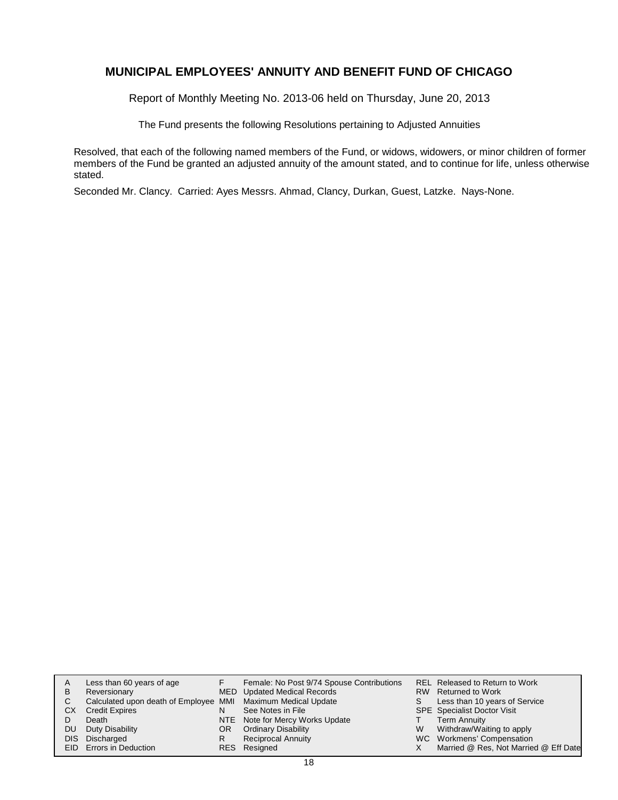Report of Monthly Meeting No. 2013-06 held on Thursday, June 20, 2013

The Fund presents the following Resolutions pertaining to Adjusted Annuities

Resolved, that each of the following named members of the Fund, or widows, widowers, or minor children of former members of the Fund be granted an adjusted annuity of the amount stated, and to continue for life, unless otherwise stated.

Seconded Mr. Clancy. Carried: Ayes Messrs. Ahmad, Clancy, Durkan, Guest, Latzke. Nays-None.

| A    | Less than 60 years of age                                    |    | Female: No Post 9/74 Spouse Contributions |   | <b>REL Released to Return to Work</b> |
|------|--------------------------------------------------------------|----|-------------------------------------------|---|---------------------------------------|
| в    | Reversionary                                                 |    | MED Updated Medical Records               |   | RW Returned to Work                   |
| С    | Calculated upon death of Employee MMI Maximum Medical Update |    |                                           | S | Less than 10 years of Service         |
| СX   | <b>Credit Expires</b>                                        | N  | See Notes in File                         |   | SPE Specialist Doctor Visit           |
|      | Death                                                        |    | NTE Note for Mercy Works Update           |   | <b>Term Annuity</b>                   |
| DU   | Duty Disability                                              | OR | <b>Ordinary Disability</b>                | W | Withdraw/Waiting to apply             |
| DIS. | Discharged                                                   | R  | <b>Reciprocal Annuity</b>                 |   | WC Workmens' Compensation             |
|      | EID Errors in Deduction                                      |    | RES Resigned                              |   | Married @ Res, Not Married @ Eff Date |
|      |                                                              |    |                                           |   |                                       |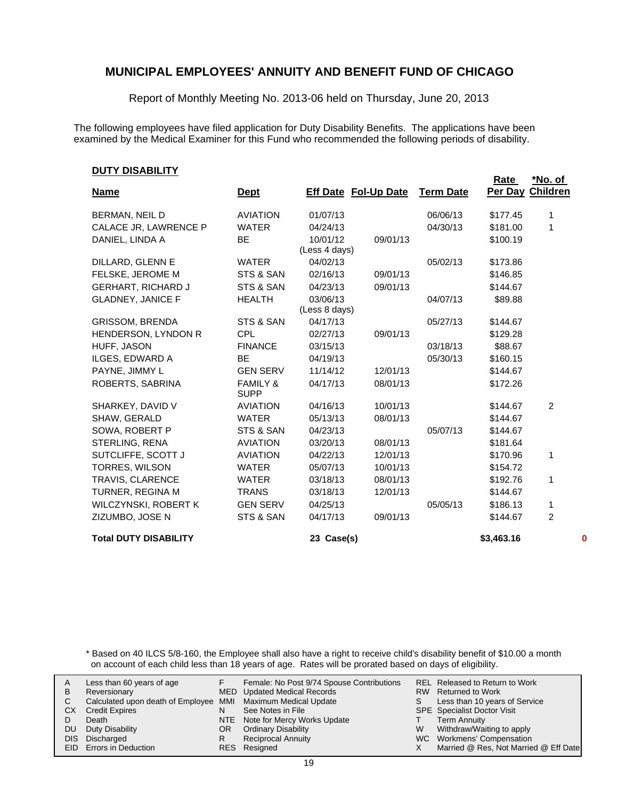Report of Monthly Meeting No. 2013-06 held on Thursday, June 20, 2013

The following employees have filed application for Duty Disability Benefits. The applications have been examined by the Medical Examiner for this Fund who recommended the following periods of disability.

#### **DUTY DISABILITY**

| <u> דוואטאטוע דוטע</u>       |                                    |                             |          |                  | Rate       | *No. of         |
|------------------------------|------------------------------------|-----------------------------|----------|------------------|------------|-----------------|
| <b>Name</b>                  | <b>Dept</b>                        | <b>Eff Date Fol-Up Date</b> |          | <b>Term Date</b> | Per Day    | <b>Children</b> |
| <b>BERMAN, NEIL D</b>        | <b>AVIATION</b>                    | 01/07/13                    |          | 06/06/13         | \$177.45   | 1               |
| CALACE JR, LAWRENCE P        | <b>WATER</b>                       | 04/24/13                    |          | 04/30/13         | \$181.00   | 1               |
| DANIEL, LINDA A              | <b>BE</b>                          | 10/01/12                    | 09/01/13 |                  | \$100.19   |                 |
|                              |                                    | (Less 4 days)               |          |                  |            |                 |
| DILLARD, GLENN E             | <b>WATER</b>                       | 04/02/13                    |          | 05/02/13         | \$173.86   |                 |
| FELSKE, JEROME M             | STS & SAN                          | 02/16/13                    | 09/01/13 |                  | \$146.85   |                 |
| <b>GERHART, RICHARD J</b>    | STS & SAN                          | 04/23/13                    | 09/01/13 |                  | \$144.67   |                 |
| <b>GLADNEY, JANICE F</b>     | <b>HEALTH</b>                      | 03/06/13                    |          | 04/07/13         | \$89.88    |                 |
|                              |                                    | (Less 8 days)               |          |                  |            |                 |
| <b>GRISSOM, BRENDA</b>       | STS & SAN                          | 04/17/13                    |          | 05/27/13         | \$144.67   |                 |
| HENDERSON, LYNDON R          | <b>CPL</b>                         | 02/27/13                    | 09/01/13 |                  | \$129.28   |                 |
| HUFF, JASON                  | <b>FINANCE</b>                     | 03/15/13                    |          | 03/18/13         | \$88.67    |                 |
| ILGES, EDWARD A              | BE                                 | 04/19/13                    |          | 05/30/13         | \$160.15   |                 |
| PAYNE, JIMMY L               | <b>GEN SERV</b>                    | 11/14/12                    | 12/01/13 |                  | \$144.67   |                 |
| ROBERTS, SABRINA             | <b>FAMILY &amp;</b><br><b>SUPP</b> | 04/17/13                    | 08/01/13 |                  | \$172.26   |                 |
| SHARKEY, DAVID V             | <b>AVIATION</b>                    | 04/16/13                    | 10/01/13 |                  | \$144.67   | $\overline{2}$  |
| SHAW, GERALD                 | <b>WATER</b>                       | 05/13/13                    | 08/01/13 |                  | \$144.67   |                 |
| SOWA, ROBERT P               | STS & SAN                          | 04/23/13                    |          | 05/07/13         | \$144.67   |                 |
| STERLING, RENA               | <b>AVIATION</b>                    | 03/20/13                    | 08/01/13 |                  | \$181.64   |                 |
| SUTCLIFFE, SCOTT J           | <b>AVIATION</b>                    | 04/22/13                    | 12/01/13 |                  | \$170.96   | 1               |
| TORRES, WILSON               | <b>WATER</b>                       | 05/07/13                    | 10/01/13 |                  | \$154.72   |                 |
| TRAVIS, CLARENCE             | <b>WATER</b>                       | 03/18/13                    | 08/01/13 |                  | \$192.76   | 1               |
| TURNER, REGINA M             | <b>TRANS</b>                       | 03/18/13                    | 12/01/13 |                  | \$144.67   |                 |
| WILCZYNSKI, ROBERT K         | <b>GEN SERV</b>                    | 04/25/13                    |          | 05/05/13         | \$186.13   | 1               |
| ZIZUMBO, JOSE N              | STS & SAN                          | 04/17/13                    | 09/01/13 |                  | \$144.67   | $\overline{2}$  |
| <b>Total DUTY DISABILITY</b> |                                    | 23 Case(s)                  |          |                  | \$3,463.16 | 0               |

\* Based on 40 ILCS 5/8-160, the Employee shall also have a right to receive child's disability benefit of \$10.00 a month on account of each child less than 18 years of age. Rates will be prorated based on days of eligibility.

| A  | Less than 60 years of age                                    |    | Female: No Post 9/74 Spouse Contributions |    | REL Released to Return to Work        |
|----|--------------------------------------------------------------|----|-------------------------------------------|----|---------------------------------------|
| В  | Reversionary                                                 |    | <b>MED</b> Updated Medical Records        |    | RW Returned to Work                   |
|    | Calculated upon death of Employee MMI Maximum Medical Update |    |                                           | S. | Less than 10 years of Service         |
| СX | <b>Credit Expires</b>                                        | N  | See Notes in File                         |    | <b>SPE</b> Specialist Doctor Visit    |
|    | Death                                                        |    | NTE Note for Mercy Works Update           |    | <b>Term Annuity</b>                   |
| DU | Duty Disability                                              | OR | <b>Ordinary Disability</b>                | W  | Withdraw/Waiting to apply             |
|    | DIS Discharged                                               | R  | <b>Reciprocal Annuity</b>                 |    | WC Workmens' Compensation             |
|    | <b>EID</b> Errors in Deduction                               |    | RES Resigned                              |    | Married @ Res, Not Married @ Eff Date |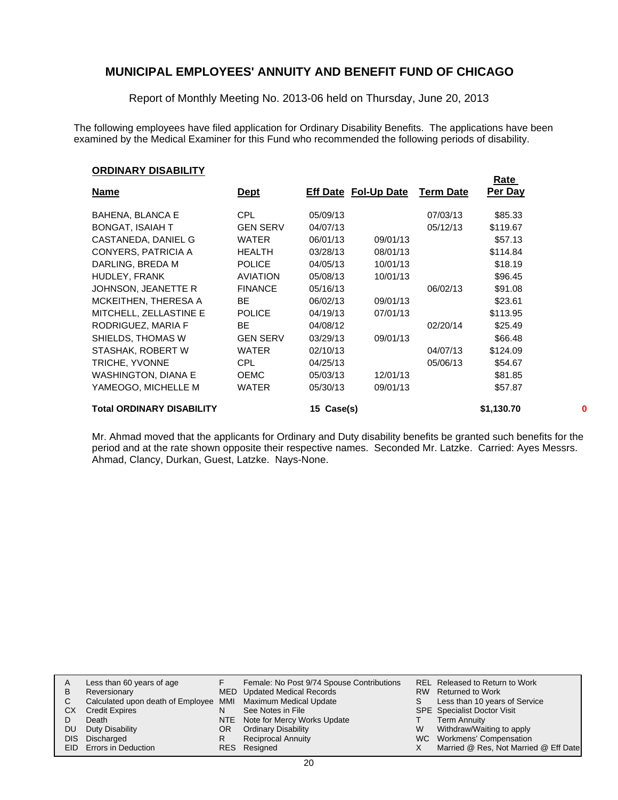Report of Monthly Meeting No. 2013-06 held on Thursday, June 20, 2013

The following employees have filed application for Ordinary Disability Benefits. The applications have been examined by the Medical Examiner for this Fund who recommended the following periods of disability.

#### **ORDINARY DISABILITY**

|                                  |                 |               |                             |                  | <u>Rate</u> |  |
|----------------------------------|-----------------|---------------|-----------------------------|------------------|-------------|--|
| <u>Name</u>                      | <u>Dept</u>     |               | <b>Eff Date Fol-Up Date</b> | <b>Term Date</b> | Per Day     |  |
| <b>BAHENA, BLANCA E</b>          | <b>CPL</b>      | 05/09/13      |                             | 07/03/13         | \$85.33     |  |
| <b>BONGAT, ISAIAH T</b>          | <b>GEN SERV</b> | 04/07/13      |                             | 05/12/13         | \$119.67    |  |
| CASTANEDA, DANIEL G              | <b>WATER</b>    | 06/01/13      | 09/01/13                    |                  | \$57.13     |  |
| CONYERS, PATRICIA A              | <b>HEALTH</b>   | 03/28/13      | 08/01/13                    |                  | \$114.84    |  |
| DARLING, BREDA M                 | <b>POLICE</b>   | 04/05/13      | 10/01/13                    |                  | \$18.19     |  |
| HUDLEY, FRANK                    | <b>AVIATION</b> | 05/08/13      | 10/01/13                    |                  | \$96.45     |  |
| JOHNSON, JEANETTE R              | <b>FINANCE</b>  | 05/16/13      |                             | 06/02/13         | \$91.08     |  |
| MCKEITHEN, THERESA A             | BE.             | 06/02/13      | 09/01/13                    |                  | \$23.61     |  |
| MITCHELL, ZELLASTINE E           | <b>POLICE</b>   | 04/19/13      | 07/01/13                    |                  | \$113.95    |  |
| RODRIGUEZ, MARIA F               | BE.             | 04/08/12      |                             | 02/20/14         | \$25.49     |  |
| SHIELDS, THOMAS W                | <b>GEN SERV</b> | 03/29/13      | 09/01/13                    |                  | \$66.48     |  |
| STASHAK, ROBERT W                | <b>WATER</b>    | 02/10/13      |                             | 04/07/13         | \$124.09    |  |
| TRICHE, YVONNE                   | <b>CPL</b>      | 04/25/13      |                             | 05/06/13         | \$54.67     |  |
| WASHINGTON, DIANA E              | <b>OEMC</b>     | 05/03/13      | 12/01/13                    |                  | \$81.85     |  |
| YAMEOGO, MICHELLE M              | <b>WATER</b>    | 05/30/13      | 09/01/13                    |                  | \$57.87     |  |
| <b>Total ORDINARY DISABILITY</b> |                 | Case(s)<br>15 |                             |                  | \$1,130.70  |  |

Mr. Ahmad moved that the applicants for Ordinary and Duty disability benefits be granted such benefits for the period and at the rate shown opposite their respective names. Seconded Mr. Latzke. Carried: Ayes Messrs. Ahmad, Clancy, Durkan, Guest, Latzke. Nays-None.

| A  | Less than 60 years of age                                    |     | Female: No Post 9/74 Spouse Contributions |    | REL Released to Return to Work        |
|----|--------------------------------------------------------------|-----|-------------------------------------------|----|---------------------------------------|
| В  | Reversionary                                                 |     | MED Updated Medical Records               |    | RW Returned to Work                   |
| C. | Calculated upon death of Employee MMI Maximum Medical Update |     |                                           | S. | Less than 10 years of Service         |
| CХ | <b>Credit Expires</b>                                        | N   | See Notes in File                         |    | <b>SPE</b> Specialist Doctor Visit    |
|    | Death                                                        |     | NTE Note for Mercy Works Update           |    | <b>Term Annuity</b>                   |
| DU | Duty Disability                                              | OR. | <b>Ordinary Disability</b>                | W  | Withdraw/Waiting to apply             |
|    | DIS Discharged                                               | R   | <b>Reciprocal Annuity</b>                 |    | WC Workmens' Compensation             |
|    | <b>EID</b> Errors in Deduction                               |     | RES Resigned                              |    | Married @ Res, Not Married @ Eff Date |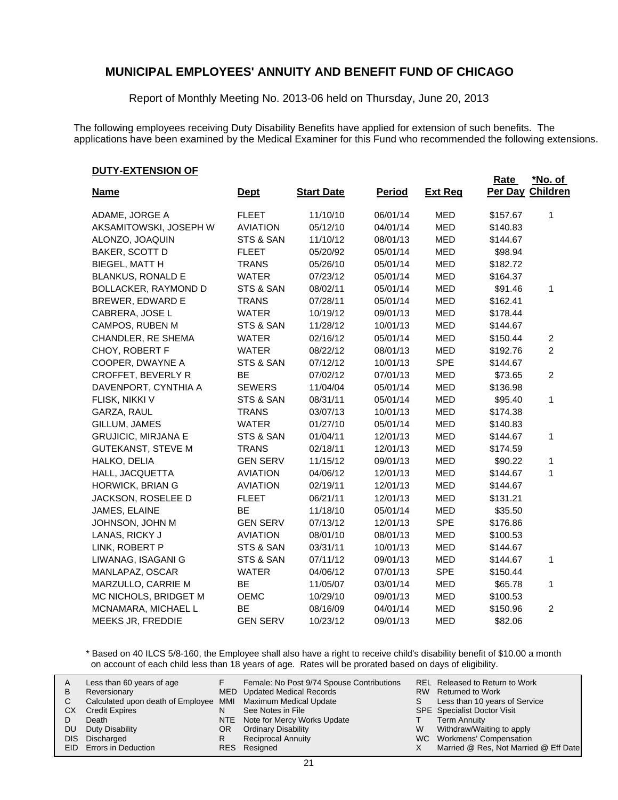Report of Monthly Meeting No. 2013-06 held on Thursday, June 20, 2013

The following employees receiving Duty Disability Benefits have applied for extension of such benefits. The applications have been examined by the Medical Examiner for this Fund who recommended the following extensions.

#### **DUTY-EXTENSION OF**

|                            |                 |                   |               |                | Rate     | <u>*No. of</u>  |
|----------------------------|-----------------|-------------------|---------------|----------------|----------|-----------------|
| <b>Name</b>                | <b>Dept</b>     | <b>Start Date</b> | <b>Period</b> | <b>Ext Reg</b> | Per Day  | <b>Children</b> |
| ADAME, JORGE A             | <b>FLEET</b>    | 11/10/10          | 06/01/14      | <b>MED</b>     | \$157.67 | 1               |
| AKSAMITOWSKI, JOSEPH W     | <b>AVIATION</b> | 05/12/10          | 04/01/14      | <b>MED</b>     | \$140.83 |                 |
| ALONZO, JOAQUIN            | STS & SAN       | 11/10/12          | 08/01/13      | <b>MED</b>     | \$144.67 |                 |
| BAKER, SCOTT D             | <b>FLEET</b>    | 05/20/92          | 05/01/14      | <b>MED</b>     | \$98.94  |                 |
| <b>BIEGEL, MATT H</b>      | <b>TRANS</b>    | 05/26/10          | 05/01/14      | <b>MED</b>     | \$182.72 |                 |
| <b>BLANKUS, RONALD E</b>   | <b>WATER</b>    | 07/23/12          | 05/01/14      | <b>MED</b>     | \$164.37 |                 |
| BOLLACKER, RAYMOND D       | STS & SAN       | 08/02/11          | 05/01/14      | <b>MED</b>     | \$91.46  | 1               |
| <b>BREWER, EDWARD E</b>    | <b>TRANS</b>    | 07/28/11          | 05/01/14      | <b>MED</b>     | \$162.41 |                 |
| CABRERA, JOSE L            | <b>WATER</b>    | 10/19/12          | 09/01/13      | <b>MED</b>     | \$178.44 |                 |
| CAMPOS, RUBEN M            | STS & SAN       | 11/28/12          | 10/01/13      | <b>MED</b>     | \$144.67 |                 |
| CHANDLER, RE SHEMA         | <b>WATER</b>    | 02/16/12          | 05/01/14      | <b>MED</b>     | \$150.44 | $\overline{c}$  |
| CHOY, ROBERT F             | <b>WATER</b>    | 08/22/12          | 08/01/13      | <b>MED</b>     | \$192.76 | $\overline{2}$  |
| COOPER, DWAYNE A           | STS & SAN       | 07/12/12          | 10/01/13      | SPE            | \$144.67 |                 |
| <b>CROFFET, BEVERLY R</b>  | <b>BE</b>       | 07/02/12          | 07/01/13      | <b>MED</b>     | \$73.65  | $\overline{2}$  |
| DAVENPORT, CYNTHIA A       | <b>SEWERS</b>   | 11/04/04          | 05/01/14      | <b>MED</b>     | \$136.98 |                 |
| FLISK, NIKKI V             | STS & SAN       | 08/31/11          | 05/01/14      | <b>MED</b>     | \$95.40  | $\mathbf{1}$    |
| GARZA, RAUL                | <b>TRANS</b>    | 03/07/13          | 10/01/13      | <b>MED</b>     | \$174.38 |                 |
| GILLUM, JAMES              | <b>WATER</b>    | 01/27/10          | 05/01/14      | <b>MED</b>     | \$140.83 |                 |
| <b>GRUJICIC, MIRJANA E</b> | STS & SAN       | 01/04/11          | 12/01/13      | <b>MED</b>     | \$144.67 | 1               |
| <b>GUTEKANST, STEVE M</b>  | <b>TRANS</b>    | 02/18/11          | 12/01/13      | <b>MED</b>     | \$174.59 |                 |
| HALKO, DELIA               | <b>GEN SERV</b> | 11/15/12          | 09/01/13      | <b>MED</b>     | \$90.22  | 1               |
| HALL, JACQUETTA            | <b>AVIATION</b> | 04/06/12          | 12/01/13      | <b>MED</b>     | \$144.67 | 1               |
| HORWICK, BRIAN G           | <b>AVIATION</b> | 02/19/11          | 12/01/13      | <b>MED</b>     | \$144.67 |                 |
| JACKSON, ROSELEE D         | <b>FLEET</b>    | 06/21/11          | 12/01/13      | <b>MED</b>     | \$131.21 |                 |
| JAMES, ELAINE              | BE              | 11/18/10          | 05/01/14      | <b>MED</b>     | \$35.50  |                 |
| JOHNSON, JOHN M            | <b>GEN SERV</b> | 07/13/12          | 12/01/13      | <b>SPE</b>     | \$176.86 |                 |
| LANAS, RICKY J             | <b>AVIATION</b> | 08/01/10          | 08/01/13      | <b>MED</b>     | \$100.53 |                 |
| LINK, ROBERT P             | STS & SAN       | 03/31/11          | 10/01/13      | <b>MED</b>     | \$144.67 |                 |
| LIWANAG, ISAGANI G         | STS & SAN       | 07/11/12          | 09/01/13      | <b>MED</b>     | \$144.67 | 1               |
| MANLAPAZ, OSCAR            | <b>WATER</b>    | 04/06/12          | 07/01/13      | <b>SPE</b>     | \$150.44 |                 |
| MARZULLO, CARRIE M         | BE              | 11/05/07          | 03/01/14      | <b>MED</b>     | \$65.78  | 1               |
| MC NICHOLS, BRIDGET M      | <b>OEMC</b>     | 10/29/10          | 09/01/13      | <b>MED</b>     | \$100.53 |                 |
| MCNAMARA, MICHAEL L        | <b>BE</b>       | 08/16/09          | 04/01/14      | <b>MED</b>     | \$150.96 | $\overline{2}$  |
| MEEKS JR, FREDDIE          | <b>GEN SERV</b> | 10/23/12          | 09/01/13      | <b>MED</b>     | \$82.06  |                 |

\* Based on 40 ILCS 5/8-160, the Employee shall also have a right to receive child's disability benefit of \$10.00 a month on account of each child less than 18 years of age. Rates will be prorated based on days of eligibility.

| A<br>в | Less than 60 years of age<br>Reversionary                    |    | Female: No Post 9/74 Spouse Contributions<br>MED Updated Medical Records |    | REL Released to Return to Work<br>RW Returned to Work |
|--------|--------------------------------------------------------------|----|--------------------------------------------------------------------------|----|-------------------------------------------------------|
|        | Calculated upon death of Employee MMI Maximum Medical Update |    |                                                                          | S. | Less than 10 years of Service                         |
| СX     | <b>Credit Expires</b>                                        | N  | See Notes in File                                                        |    | <b>SPE</b> Specialist Doctor Visit                    |
|        | Death                                                        |    | NTE Note for Mercy Works Update                                          |    | <b>Term Annuity</b>                                   |
| DU     | Duty Disability                                              | OR | <b>Ordinary Disability</b>                                               | W  | Withdraw/Waiting to apply                             |
| DIS.   | Discharged                                                   |    | <b>Reciprocal Annuity</b>                                                |    | WC Workmens' Compensation                             |
|        | EID Errors in Deduction                                      |    | RES Resigned                                                             |    | Married @ Res, Not Married @ Eff Date                 |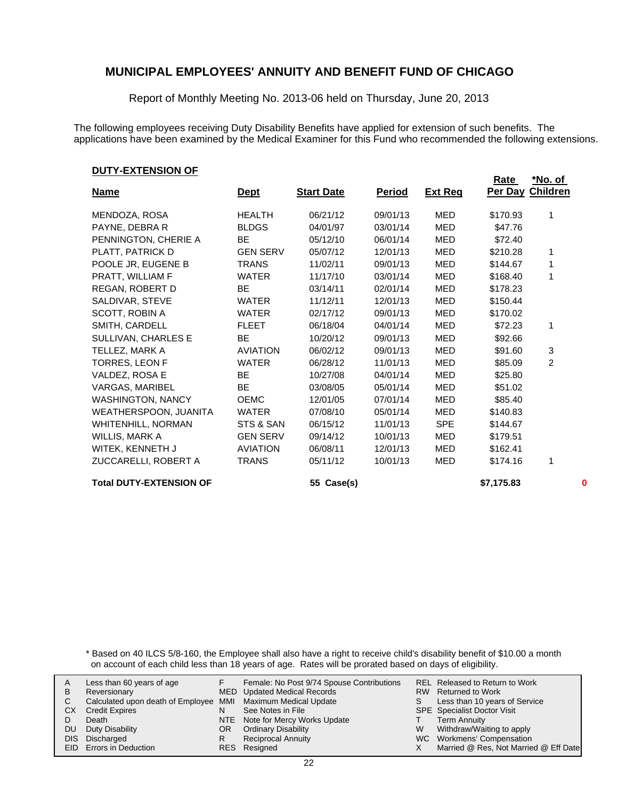Report of Monthly Meeting No. 2013-06 held on Thursday, June 20, 2013

The following employees receiving Duty Disability Benefits have applied for extension of such benefits. The applications have been examined by the Medical Examiner for this Fund who recommended the following extensions.

#### **DUTY-EXTENSION OF**

|                                |                 |                   |               |                | Rate             | <u>*No. of</u> |          |
|--------------------------------|-----------------|-------------------|---------------|----------------|------------------|----------------|----------|
| <b>Name</b>                    | <u>Dept</u>     | <b>Start Date</b> | <u>Period</u> | <b>Ext Req</b> | Per Day Children |                |          |
| MENDOZA, ROSA                  | <b>HEALTH</b>   | 06/21/12          | 09/01/13      | <b>MED</b>     | \$170.93         | 1              |          |
| PAYNE, DEBRA R                 | <b>BLDGS</b>    | 04/01/97          | 03/01/14      | MED            | \$47.76          |                |          |
| PENNINGTON, CHERIE A           | <b>BE</b>       | 05/12/10          | 06/01/14      | MED            | \$72.40          |                |          |
| PLATT, PATRICK D               | <b>GEN SERV</b> | 05/07/12          | 12/01/13      | <b>MED</b>     | \$210.28         | 1              |          |
| POOLE JR, EUGENE B             | <b>TRANS</b>    | 11/02/11          | 09/01/13      | MED            | \$144.67         | 1              |          |
| PRATT, WILLIAM F               | <b>WATER</b>    | 11/17/10          | 03/01/14      | <b>MED</b>     | \$168.40         | 1              |          |
| REGAN, ROBERT D                | BE.             | 03/14/11          | 02/01/14      | MED            | \$178.23         |                |          |
| SALDIVAR, STEVE                | <b>WATER</b>    | 11/12/11          | 12/01/13      | <b>MED</b>     | \$150.44         |                |          |
| SCOTT, ROBIN A                 | <b>WATER</b>    | 02/17/12          | 09/01/13      | MED            | \$170.02         |                |          |
| SMITH, CARDELL                 | <b>FLEET</b>    | 06/18/04          | 04/01/14      | <b>MED</b>     | \$72.23          | 1              |          |
| SULLIVAN, CHARLES E            | <b>BE</b>       | 10/20/12          | 09/01/13      | <b>MED</b>     | \$92.66          |                |          |
| TELLEZ, MARK A                 | <b>AVIATION</b> | 06/02/12          | 09/01/13      | MED            | \$91.60          | 3              |          |
| TORRES, LEON F                 | <b>WATER</b>    | 06/28/12          | 11/01/13      | <b>MED</b>     | \$85.09          | 2              |          |
| VALDEZ, ROSA E                 | <b>BE</b>       | 10/27/08          | 04/01/14      | <b>MED</b>     | \$25.80          |                |          |
| VARGAS, MARIBEL                | BE.             | 03/08/05          | 05/01/14      | MED            | \$51.02          |                |          |
| <b>WASHINGTON, NANCY</b>       | <b>OEMC</b>     | 12/01/05          | 07/01/14      | <b>MED</b>     | \$85.40          |                |          |
| WEATHERSPOON, JUANITA          | <b>WATER</b>    | 07/08/10          | 05/01/14      | MED            | \$140.83         |                |          |
| WHITENHILL, NORMAN             | STS & SAN       | 06/15/12          | 11/01/13      | <b>SPE</b>     | \$144.67         |                |          |
| WILLIS, MARK A                 | <b>GEN SERV</b> | 09/14/12          | 10/01/13      | MED            | \$179.51         |                |          |
| WITEK, KENNETH J               | <b>AVIATION</b> | 06/08/11          | 12/01/13      | MED            | \$162.41         |                |          |
| ZUCCARELLI, ROBERT A           | <b>TRANS</b>    | 05/11/12          | 10/01/13      | <b>MED</b>     | \$174.16         | 1              |          |
| <b>Total DUTY-EXTENSION OF</b> |                 | 55 Case(s)        |               |                | \$7,175.83       |                | $\bf{0}$ |

\* Based on 40 ILCS 5/8-160, the Employee shall also have a right to receive child's disability benefit of \$10.00 a month on account of each child less than 18 years of age. Rates will be prorated based on days of eligibility.

| A | Less than 60 years of age                                    |    | Female: No Post 9/74 Spouse Contributions |    | REL Released to Return to Work        |
|---|--------------------------------------------------------------|----|-------------------------------------------|----|---------------------------------------|
| В | Reversionary                                                 |    | <b>MED</b> Updated Medical Records        |    | RW Returned to Work                   |
|   | Calculated upon death of Employee MMI Maximum Medical Update |    |                                           | S. | Less than 10 years of Service         |
|   | СX<br><b>Credit Expires</b>                                  | N  | See Notes in File                         |    | <b>SPE</b> Specialist Doctor Visit    |
|   | Death                                                        |    | NTE Note for Mercy Works Update           |    | <b>Term Annuity</b>                   |
|   | Duty Disability<br>DU                                        | OR | <b>Ordinary Disability</b>                | W  | Withdraw/Waiting to apply             |
|   | DIS Discharged                                               | R  | <b>Reciprocal Annuity</b>                 |    | WC Workmens' Compensation             |
|   | EID Errors in Deduction                                      |    | RES Resigned                              |    | Married @ Res, Not Married @ Eff Date |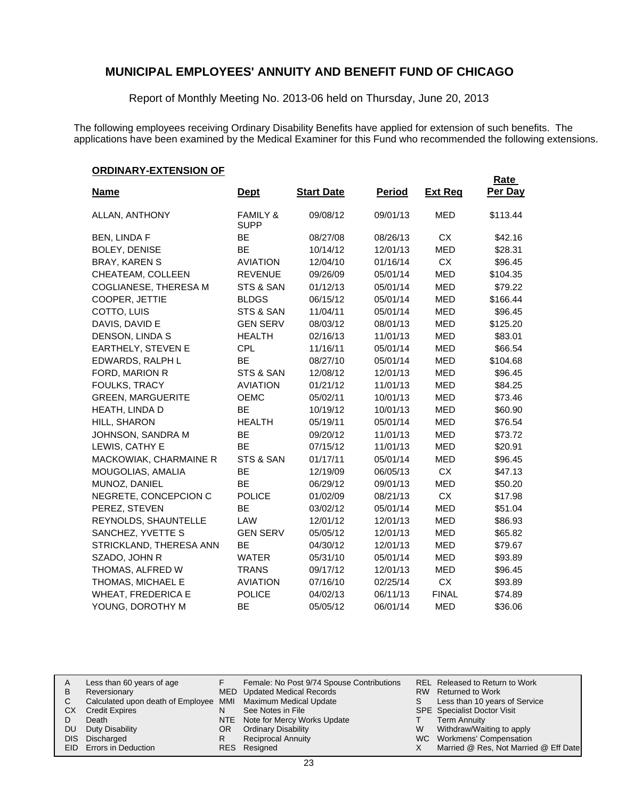Report of Monthly Meeting No. 2013-06 held on Thursday, June 20, 2013

The following employees receiving Ordinary Disability Benefits have applied for extension of such benefits. The applications have been examined by the Medical Examiner for this Fund who recommended the following extensions.

**Rate** 

#### **ORDINARY-EXTENSION OF**

| <u>Name</u>               | <b>Dept</b>         | <b>Start Date</b> | <b>Period</b> | <b>Ext Reg</b> | <u>nale</u><br>Per Day |
|---------------------------|---------------------|-------------------|---------------|----------------|------------------------|
| ALLAN, ANTHONY            | <b>FAMILY &amp;</b> | 09/08/12          | 09/01/13      | <b>MED</b>     | \$113.44               |
|                           | <b>SUPP</b>         |                   |               |                |                        |
| <b>BEN, LINDA F</b>       | <b>BE</b>           | 08/27/08          | 08/26/13      | <b>CX</b>      | \$42.16                |
| <b>BOLEY, DENISE</b>      | <b>BE</b>           | 10/14/12          | 12/01/13      | MED            | \$28.31                |
| <b>BRAY, KAREN S</b>      | <b>AVIATION</b>     | 12/04/10          | 01/16/14      | <b>CX</b>      | \$96.45                |
| CHEATEAM, COLLEEN         | <b>REVENUE</b>      | 09/26/09          | 05/01/14      | <b>MED</b>     | \$104.35               |
| COGLIANESE, THERESA M     | STS & SAN           | 01/12/13          | 05/01/14      | <b>MED</b>     | \$79.22                |
| COOPER, JETTIE            | <b>BLDGS</b>        | 06/15/12          | 05/01/14      | <b>MED</b>     | \$166.44               |
| COTTO, LUIS               | STS & SAN           | 11/04/11          | 05/01/14      | <b>MED</b>     | \$96.45                |
| DAVIS, DAVID E            | <b>GEN SERV</b>     | 08/03/12          | 08/01/13      | <b>MED</b>     | \$125.20               |
| DENSON, LINDA S           | <b>HEALTH</b>       | 02/16/13          | 11/01/13      | <b>MED</b>     | \$83.01                |
| EARTHELY, STEVEN E        | <b>CPL</b>          | 11/16/11          | 05/01/14      | MED            | \$66.54                |
| EDWARDS, RALPH L          | <b>BE</b>           | 08/27/10          | 05/01/14      | <b>MED</b>     | \$104.68               |
| FORD, MARION R            | STS & SAN           | 12/08/12          | 12/01/13      | MED            | \$96.45                |
| FOULKS, TRACY             | <b>AVIATION</b>     | 01/21/12          | 11/01/13      | <b>MED</b>     | \$84.25                |
| <b>GREEN, MARGUERITE</b>  | <b>OEMC</b>         | 05/02/11          | 10/01/13      | <b>MED</b>     | \$73.46                |
| HEATH, LINDA D            | BE                  | 10/19/12          | 10/01/13      | <b>MED</b>     | \$60.90                |
| HILL, SHARON              | <b>HEALTH</b>       | 05/19/11          | 05/01/14      | <b>MED</b>     | \$76.54                |
| JOHNSON, SANDRA M         | <b>BE</b>           | 09/20/12          | 11/01/13      | <b>MED</b>     | \$73.72                |
| LEWIS, CATHY E            | BE                  | 07/15/12          | 11/01/13      | <b>MED</b>     | \$20.91                |
| MACKOWIAK, CHARMAINE R    | STS & SAN           | 01/17/11          | 05/01/14      | <b>MED</b>     | \$96.45                |
| MOUGOLIAS, AMALIA         | BE                  | 12/19/09          | 06/05/13      | <b>CX</b>      | \$47.13                |
| MUNOZ, DANIEL             | <b>BE</b>           | 06/29/12          | 09/01/13      | <b>MED</b>     | \$50.20                |
| NEGRETE, CONCEPCION C     | <b>POLICE</b>       | 01/02/09          | 08/21/13      | <b>CX</b>      | \$17.98                |
| PEREZ, STEVEN             | <b>BE</b>           | 03/02/12          | 05/01/14      | <b>MED</b>     | \$51.04                |
| REYNOLDS, SHAUNTELLE      | LAW                 | 12/01/12          | 12/01/13      | <b>MED</b>     | \$86.93                |
| SANCHEZ, YVETTE S         | <b>GEN SERV</b>     | 05/05/12          | 12/01/13      | <b>MED</b>     | \$65.82                |
| STRICKLAND, THERESA ANN   | <b>BE</b>           | 04/30/12          | 12/01/13      | <b>MED</b>     | \$79.67                |
| SZADO, JOHN R             | <b>WATER</b>        | 05/31/10          | 05/01/14      | <b>MED</b>     | \$93.89                |
| THOMAS, ALFRED W          | <b>TRANS</b>        | 09/17/12          | 12/01/13      | MED            | \$96.45                |
| THOMAS, MICHAEL E         | <b>AVIATION</b>     | 07/16/10          | 02/25/14      | <b>CX</b>      | \$93.89                |
| <b>WHEAT, FREDERICA E</b> | <b>POLICE</b>       | 04/02/13          | 06/11/13      | <b>FINAL</b>   | \$74.89                |
| YOUNG, DOROTHY M          | <b>BE</b>           | 05/05/12          | 06/01/14      | MED            | \$36.06                |

| A  | Less than 60 years of age                                    |    | Female: No Post 9/74 Spouse Contributions |    | REL Released to Return to Work        |
|----|--------------------------------------------------------------|----|-------------------------------------------|----|---------------------------------------|
| В  | Reversionary                                                 |    | <b>MED</b> Updated Medical Records        |    | RW Returned to Work                   |
|    | Calculated upon death of Employee MMI Maximum Medical Update |    |                                           | S. | Less than 10 years of Service         |
| СX | <b>Credit Expires</b>                                        | N  | See Notes in File                         |    | <b>SPE</b> Specialist Doctor Visit    |
|    | Death                                                        |    | NTE Note for Mercy Works Update           |    | <b>Term Annuity</b>                   |
| DU | Duty Disability                                              | OR | <b>Ordinary Disability</b>                | W  | Withdraw/Waiting to apply             |
|    | DIS Discharged                                               | R  | <b>Reciprocal Annuity</b>                 |    | WC Workmens' Compensation             |
|    | EID Errors in Deduction                                      |    | RES Resigned                              |    | Married @ Res, Not Married @ Eff Date |
|    |                                                              |    |                                           |    |                                       |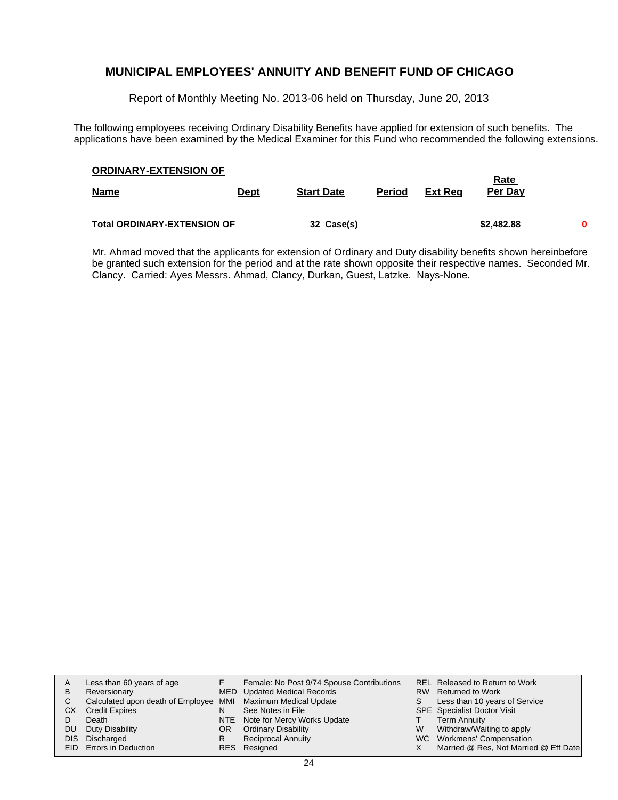Report of Monthly Meeting No. 2013-06 held on Thursday, June 20, 2013

The following employees receiving Ordinary Disability Benefits have applied for extension of such benefits. The applications have been examined by the Medical Examiner for this Fund who recommended the following extensions.

| <b>ORDINARY-EXTENSION OF</b>       |      |                   |               |         | <u>Rate</u> |   |
|------------------------------------|------|-------------------|---------------|---------|-------------|---|
| <b>Name</b>                        | Dept | <b>Start Date</b> | <b>Period</b> | Ext Rea | Per Day     |   |
| <b>Total ORDINARY-EXTENSION OF</b> |      | 32 Case(s)        |               |         | \$2,482.88  | 0 |

Mr. Ahmad moved that the applicants for extension of Ordinary and Duty disability benefits shown hereinbefore be granted such extension for the period and at the rate shown opposite their respective names. Seconded Mr. Clancy. Carried: Ayes Messrs. Ahmad, Clancy, Durkan, Guest, Latzke. Nays-None.

| A    | Less than 60 years of age                                    |    | Female: No Post 9/74 Spouse Contributions |    | REL Released to Return to Work        |
|------|--------------------------------------------------------------|----|-------------------------------------------|----|---------------------------------------|
| в    | Reversionary                                                 |    | MED Updated Medical Records               |    | RW Returned to Work                   |
| C.   | Calculated upon death of Employee MMI Maximum Medical Update |    |                                           | S. | Less than 10 years of Service         |
| CХ   | <b>Credit Expires</b>                                        |    | See Notes in File                         |    | <b>SPE</b> Specialist Doctor Visit    |
|      | Death                                                        |    | NTE Note for Mercy Works Update           |    | <b>Term Annuity</b>                   |
| DU   | Duty Disability                                              | OR | <b>Ordinary Disability</b>                | W  | Withdraw/Waiting to apply             |
| DIS. | Discharged                                                   | R  | <b>Reciprocal Annuity</b>                 |    | WC Workmens' Compensation             |
|      | EID Errors in Deduction                                      |    | RES Resigned                              |    | Married @ Res, Not Married @ Eff Date |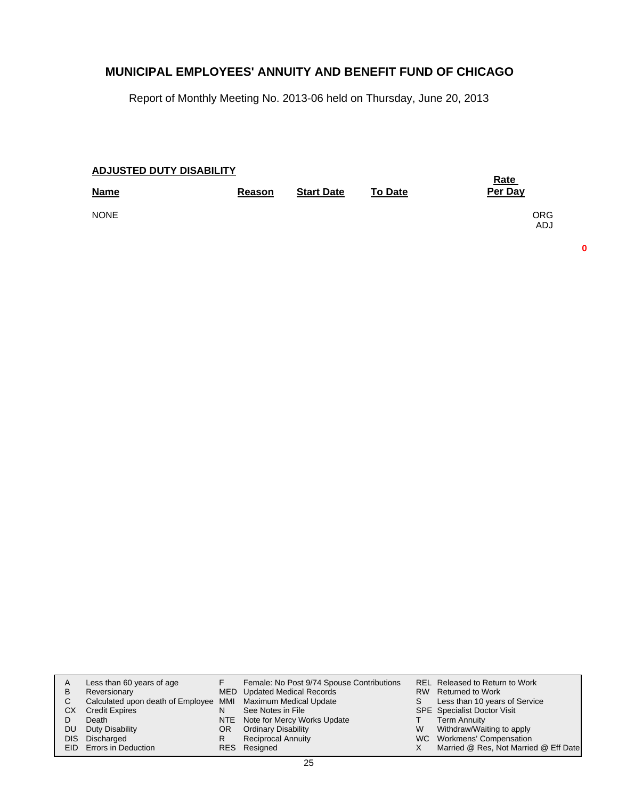Report of Monthly Meeting No. 2013-06 held on Thursday, June 20, 2013

| <b>ADJUSTED DUTY DISABILITY</b> |        |                   |                | <u>Rate</u>       |
|---------------------------------|--------|-------------------|----------------|-------------------|
| <b>Name</b>                     | Reason | <b>Start Date</b> | <b>To Date</b> | Per Day           |
| <b>NONE</b>                     |        |                   |                | <b>ORG</b><br>ADJ |

**0**

| A    | Less than 60 years of age                                    |    | Female: No Post 9/74 Spouse Contributions |    | REL Released to Return to Work        |
|------|--------------------------------------------------------------|----|-------------------------------------------|----|---------------------------------------|
| в    | Reversionary                                                 |    | MED Updated Medical Records               |    | RW Returned to Work                   |
|      | Calculated upon death of Employee MMI Maximum Medical Update |    |                                           | S. | Less than 10 years of Service         |
| СX   | <b>Credit Expires</b>                                        | N  | See Notes in File                         |    | <b>SPE</b> Specialist Doctor Visit    |
|      | Death                                                        |    | NTE Note for Mercy Works Update           |    | <b>Term Annuity</b>                   |
| DU   | Duty Disability                                              | OR | <b>Ordinary Disability</b>                | W  | Withdraw/Waiting to apply             |
| DIS. | Discharged                                                   | R  | <b>Reciprocal Annuity</b>                 |    | WC Workmens' Compensation             |
|      | EID Errors in Deduction                                      |    | RES Resigned                              |    | Married @ Res, Not Married @ Eff Date |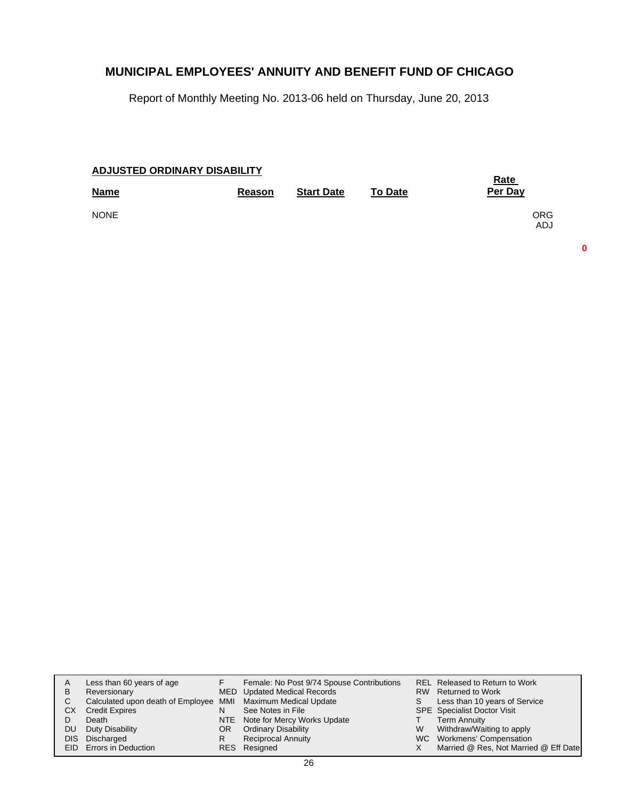Report of Monthly Meeting No. 2013-06 held on Thursday, June 20, 2013

| ADJUSTED ORDINARY DISABILITY | <b>Rate</b> |                   |                |                          |
|------------------------------|-------------|-------------------|----------------|--------------------------|
| <b>Name</b>                  | Reason      | <b>Start Date</b> | <b>To Date</b> | Per Day                  |
| <b>NONE</b>                  |             |                   |                | <b>ORG</b><br><b>ADJ</b> |

**0**

| A    | Less than 60 years of age                                    |    | Female: No Post 9/74 Spouse Contributions |    | <b>REL Released to Return to Work</b> |
|------|--------------------------------------------------------------|----|-------------------------------------------|----|---------------------------------------|
| В    | Reversionary                                                 |    | <b>MED</b> Updated Medical Records        |    | RW Returned to Work                   |
|      | Calculated upon death of Employee MMI Maximum Medical Update |    |                                           | S. | Less than 10 years of Service         |
| CХ   | <b>Credit Expires</b>                                        | N  | See Notes in File                         |    | <b>SPE</b> Specialist Doctor Visit    |
|      | Death                                                        |    | NTE Note for Mercy Works Update           |    | <b>Term Annuity</b>                   |
| DU.  | Duty Disability                                              | OR | <b>Ordinary Disability</b>                | W  | Withdraw/Waiting to apply             |
| DIS. | Discharged                                                   | R  | <b>Reciprocal Annuity</b>                 |    | WC Workmens' Compensation             |
|      | <b>EID</b> Errors in Deduction                               |    | RES Resigned                              |    | Married @ Res, Not Married @ Eff Date |
|      |                                                              |    |                                           |    |                                       |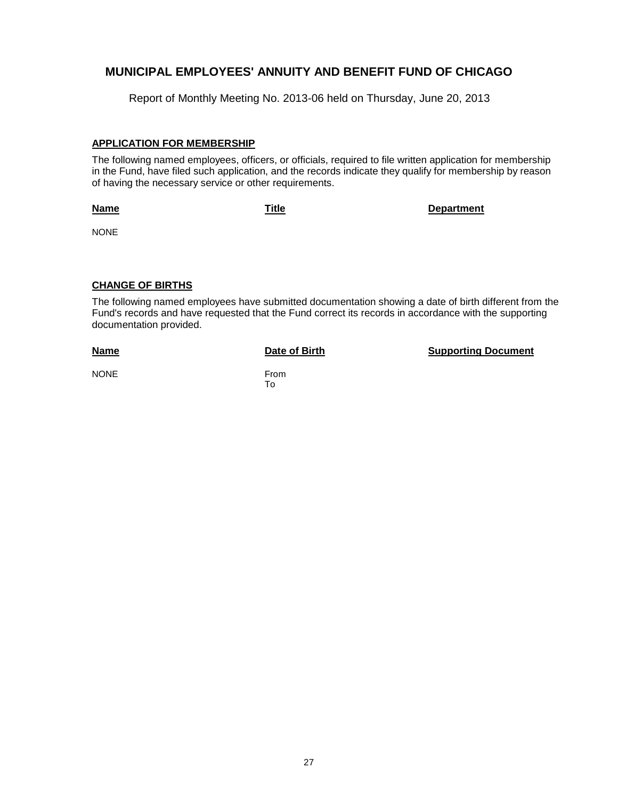Report of Monthly Meeting No. 2013-06 held on Thursday, June 20, 2013

#### **APPLICATION FOR MEMBERSHIP**

The following named employees, officers, or officials, required to file written application for membership in the Fund, have filed such application, and the records indicate they qualify for membership by reason of having the necessary service or other requirements.

#### **Name**

**Title Department**

NONE

## **CHANGE OF BIRTHS**

The following named employees have submitted documentation showing a date of birth different from the Fund's records and have requested that the Fund correct its records in accordance with the supporting documentation provided.

#### **Name**

**Date of Birth Supporting Document** 

NONE From

To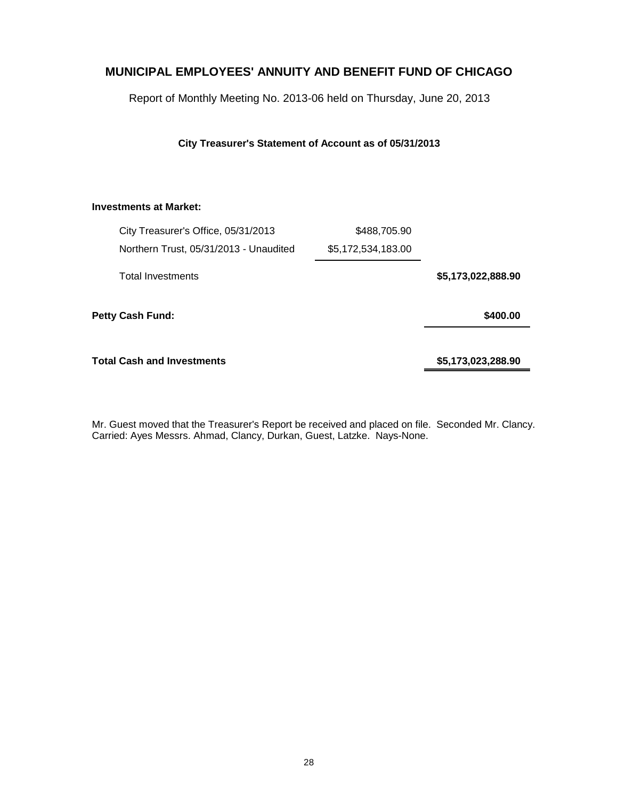Report of Monthly Meeting No. 2013-06 held on Thursday, June 20, 2013

**City Treasurer's Statement of Account as of 05/31/2013**

## **Investments at Market:**

|                    | \$488,705.90       | City Treasurer's Office, 05/31/2013    |  |
|--------------------|--------------------|----------------------------------------|--|
|                    | \$5,172,534,183.00 | Northern Trust, 05/31/2013 - Unaudited |  |
| \$5,173,022,888.90 |                    | <b>Total Investments</b>               |  |
| \$400.00           |                    | Petty Cash Fund:                       |  |
| \$5,173,023,288.90 |                    | <b>Total Cash and Investments</b>      |  |

Mr. Guest moved that the Treasurer's Report be received and placed on file. Seconded Mr. Clancy. Carried: Ayes Messrs. Ahmad, Clancy, Durkan, Guest, Latzke. Nays-None.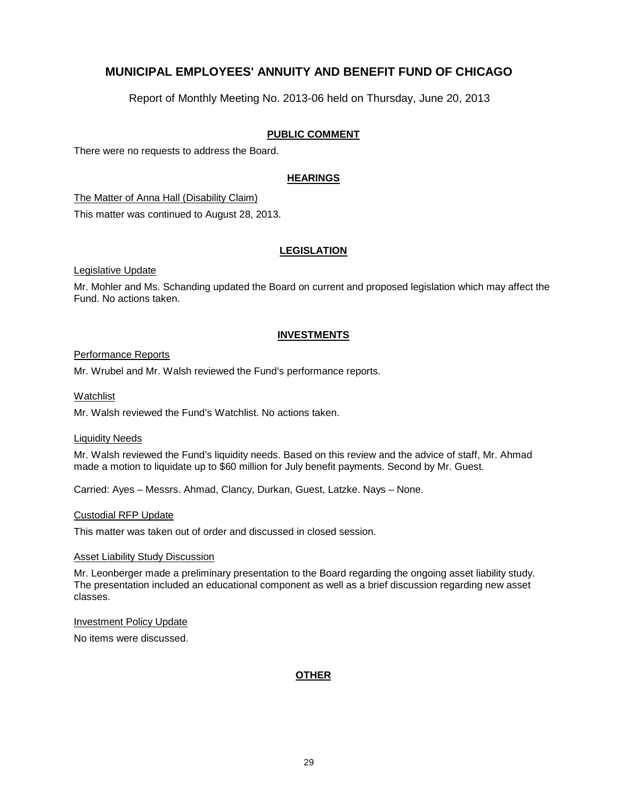Report of Monthly Meeting No. 2013-06 held on Thursday, June 20, 2013

## **PUBLIC COMMENT**

There were no requests to address the Board.

## **HEARINGS**

The Matter of Anna Hall (Disability Claim)

This matter was continued to August 28, 2013.

## **LEGISLATION**

Legislative Update

Mr. Mohler and Ms. Schanding updated the Board on current and proposed legislation which may affect the Fund. No actions taken.

#### **INVESTMENTS**

#### Performance Reports

Mr. Wrubel and Mr. Walsh reviewed the Fund's performance reports.

Watchlist

Mr. Walsh reviewed the Fund's Watchlist. No actions taken.

#### Liquidity Needs

Mr. Walsh reviewed the Fund's liquidity needs. Based on this review and the advice of staff, Mr. Ahmad made a motion to liquidate up to \$60 million for July benefit payments. Second by Mr. Guest.

Carried: Ayes – Messrs. Ahmad, Clancy, Durkan, Guest, Latzke. Nays – None.

#### Custodial RFP Update

This matter was taken out of order and discussed in closed session.

#### Asset Liability Study Discussion

Mr. Leonberger made a preliminary presentation to the Board regarding the ongoing asset liability study. The presentation included an educational component as well as a brief discussion regarding new asset classes.

#### Investment Policy Update

No items were discussed.

## **OTHER**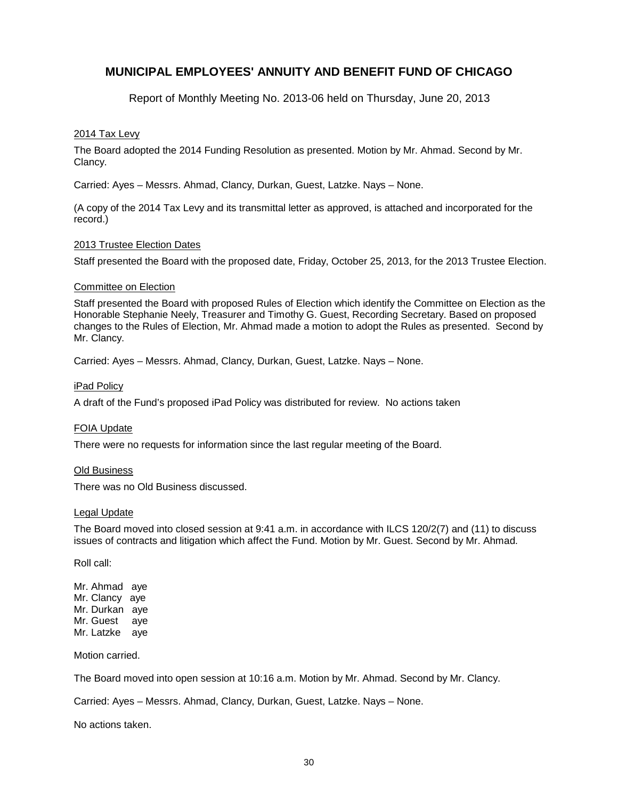Report of Monthly Meeting No. 2013-06 held on Thursday, June 20, 2013

#### 2014 Tax Levy

The Board adopted the 2014 Funding Resolution as presented. Motion by Mr. Ahmad. Second by Mr. Clancy.

Carried: Ayes – Messrs. Ahmad, Clancy, Durkan, Guest, Latzke. Nays – None.

(A copy of the 2014 Tax Levy and its transmittal letter as approved, is attached and incorporated for the record.)

#### 2013 Trustee Election Dates

Staff presented the Board with the proposed date, Friday, October 25, 2013, for the 2013 Trustee Election.

#### Committee on Election

Staff presented the Board with proposed Rules of Election which identify the Committee on Election as the Honorable Stephanie Neely, Treasurer and Timothy G. Guest, Recording Secretary. Based on proposed changes to the Rules of Election, Mr. Ahmad made a motion to adopt the Rules as presented. Second by Mr. Clancy.

Carried: Ayes – Messrs. Ahmad, Clancy, Durkan, Guest, Latzke. Nays – None.

#### iPad Policy

A draft of the Fund's proposed iPad Policy was distributed for review. No actions taken

#### FOIA Update

There were no requests for information since the last regular meeting of the Board.

#### Old Business

There was no Old Business discussed.

#### Legal Update

The Board moved into closed session at 9:41 a.m. in accordance with ILCS 120/2(7) and (11) to discuss issues of contracts and litigation which affect the Fund. Motion by Mr. Guest. Second by Mr. Ahmad.

Roll call:

Mr. Ahmad aye Mr. Clancy aye Mr. Durkan aye Mr. Guest aye Mr. Latzke aye

Motion carried.

The Board moved into open session at 10:16 a.m. Motion by Mr. Ahmad. Second by Mr. Clancy.

Carried: Ayes – Messrs. Ahmad, Clancy, Durkan, Guest, Latzke. Nays – None.

No actions taken.